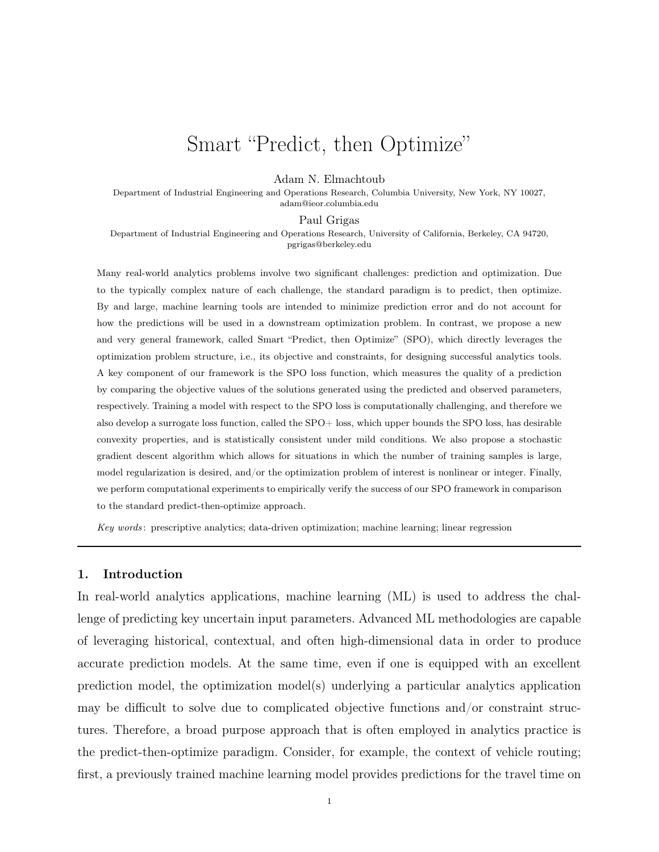# Smart "Predict, then Optimize"

Adam N. Elmachtoub

Department of Industrial Engineering and Operations Research, Columbia University, New York, NY 10027, adam@ieor.columbia.edu

Paul Grigas

Department of Industrial Engineering and Operations Research, University of California, Berkeley, CA 94720, pgrigas@berkeley.edu

Many real-world analytics problems involve two significant challenges: prediction and optimization. Due to the typically complex nature of each challenge, the standard paradigm is to predict, then optimize. By and large, machine learning tools are intended to minimize prediction error and do not account for how the predictions will be used in a downstream optimization problem. In contrast, we propose a new and very general framework, called Smart "Predict, then Optimize" (SPO), which directly leverages the optimization problem structure, i.e., its objective and constraints, for designing successful analytics tools. A key component of our framework is the SPO loss function, which measures the quality of a prediction by comparing the objective values of the solutions generated using the predicted and observed parameters, respectively. Training a model with respect to the SPO loss is computationally challenging, and therefore we also develop a surrogate loss function, called the SPO+ loss, which upper bounds the SPO loss, has desirable convexity properties, and is statistically consistent under mild conditions. We also propose a stochastic gradient descent algorithm which allows for situations in which the number of training samples is large, model regularization is desired, and/or the optimization problem of interest is nonlinear or integer. Finally, we perform computational experiments to empirically verify the success of our SPO framework in comparison to the standard predict-then-optimize approach.

Key words : prescriptive analytics; data-driven optimization; machine learning; linear regression

## 1. Introduction

In real-world analytics applications, machine learning (ML) is used to address the challenge of predicting key uncertain input parameters. Advanced ML methodologies are capable of leveraging historical, contextual, and often high-dimensional data in order to produce accurate prediction models. At the same time, even if one is equipped with an excellent prediction model, the optimization model(s) underlying a particular analytics application may be difficult to solve due to complicated objective functions and/or constraint structures. Therefore, a broad purpose approach that is often employed in analytics practice is the predict-then-optimize paradigm. Consider, for example, the context of vehicle routing; first, a previously trained machine learning model provides predictions for the travel time on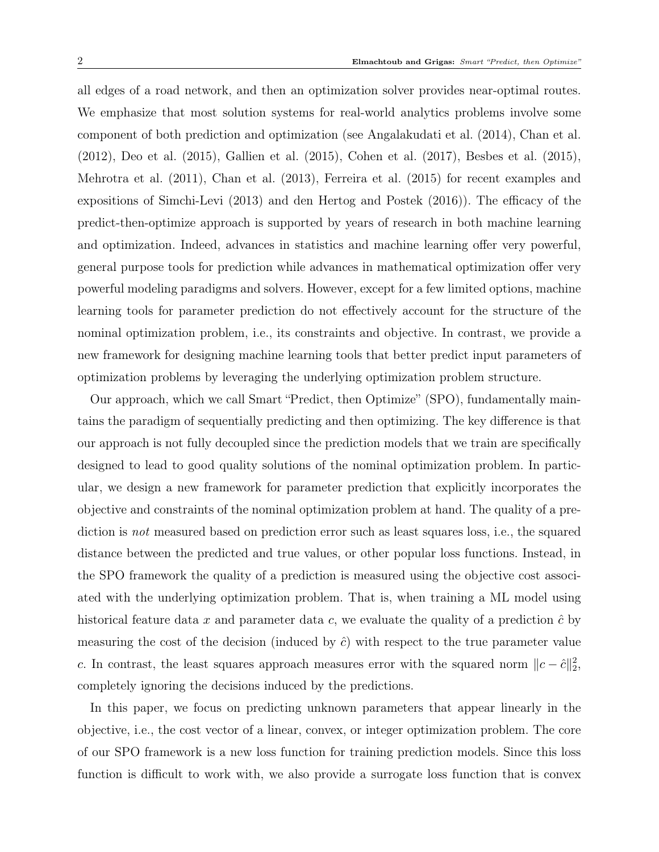all edges of a road network, and then an optimization solver provides near-optimal routes. We emphasize that most solution systems for real-world analytics problems involve some component of both prediction and optimization (see Angalakudati et al. (2014), Chan et al. (2012), Deo et al. (2015), Gallien et al. (2015), Cohen et al. (2017), Besbes et al. (2015), Mehrotra et al. (2011), Chan et al. (2013), Ferreira et al. (2015) for recent examples and expositions of Simchi-Levi (2013) and den Hertog and Postek (2016)). The efficacy of the predict-then-optimize approach is supported by years of research in both machine learning and optimization. Indeed, advances in statistics and machine learning offer very powerful, general purpose tools for prediction while advances in mathematical optimization offer very powerful modeling paradigms and solvers. However, except for a few limited options, machine learning tools for parameter prediction do not effectively account for the structure of the nominal optimization problem, i.e., its constraints and objective. In contrast, we provide a new framework for designing machine learning tools that better predict input parameters of optimization problems by leveraging the underlying optimization problem structure.

Our approach, which we call Smart "Predict, then Optimize" (SPO), fundamentally maintains the paradigm of sequentially predicting and then optimizing. The key difference is that our approach is not fully decoupled since the prediction models that we train are specifically designed to lead to good quality solutions of the nominal optimization problem. In particular, we design a new framework for parameter prediction that explicitly incorporates the objective and constraints of the nominal optimization problem at hand. The quality of a prediction is *not* measured based on prediction error such as least squares loss, i.e., the squared distance between the predicted and true values, or other popular loss functions. Instead, in the SPO framework the quality of a prediction is measured using the objective cost associated with the underlying optimization problem. That is, when training a ML model using historical feature data x and parameter data c, we evaluate the quality of a prediction  $\hat{c}$  by measuring the cost of the decision (induced by  $\hat{c}$ ) with respect to the true parameter value c. In contrast, the least squares approach measures error with the squared norm  $||c - \hat{c}||_2^2$ , completely ignoring the decisions induced by the predictions.

In this paper, we focus on predicting unknown parameters that appear linearly in the objective, i.e., the cost vector of a linear, convex, or integer optimization problem. The core of our SPO framework is a new loss function for training prediction models. Since this loss function is difficult to work with, we also provide a surrogate loss function that is convex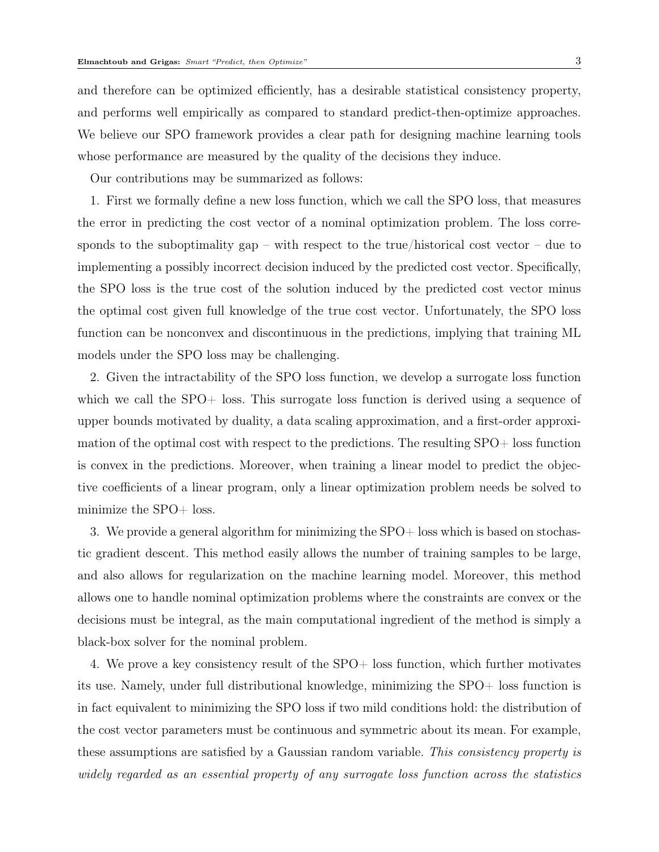and therefore can be optimized efficiently, has a desirable statistical consistency property, and performs well empirically as compared to standard predict-then-optimize approaches. We believe our SPO framework provides a clear path for designing machine learning tools whose performance are measured by the quality of the decisions they induce.

Our contributions may be summarized as follows:

1. First we formally define a new loss function, which we call the SPO loss, that measures the error in predicting the cost vector of a nominal optimization problem. The loss corresponds to the suboptimality gap – with respect to the true/historical cost vector – due to implementing a possibly incorrect decision induced by the predicted cost vector. Specifically, the SPO loss is the true cost of the solution induced by the predicted cost vector minus the optimal cost given full knowledge of the true cost vector. Unfortunately, the SPO loss function can be nonconvex and discontinuous in the predictions, implying that training ML models under the SPO loss may be challenging.

2. Given the intractability of the SPO loss function, we develop a surrogate loss function which we call the SPO+ loss. This surrogate loss function is derived using a sequence of upper bounds motivated by duality, a data scaling approximation, and a first-order approximation of the optimal cost with respect to the predictions. The resulting SPO+ loss function is convex in the predictions. Moreover, when training a linear model to predict the objective coefficients of a linear program, only a linear optimization problem needs be solved to minimize the SPO+ loss.

3. We provide a general algorithm for minimizing the  $SPO +$  loss which is based on stochastic gradient descent. This method easily allows the number of training samples to be large, and also allows for regularization on the machine learning model. Moreover, this method allows one to handle nominal optimization problems where the constraints are convex or the decisions must be integral, as the main computational ingredient of the method is simply a black-box solver for the nominal problem.

4. We prove a key consistency result of the SPO+ loss function, which further motivates its use. Namely, under full distributional knowledge, minimizing the SPO+ loss function is in fact equivalent to minimizing the SPO loss if two mild conditions hold: the distribution of the cost vector parameters must be continuous and symmetric about its mean. For example, these assumptions are satisfied by a Gaussian random variable. This consistency property is widely regarded as an essential property of any surrogate loss function across the statistics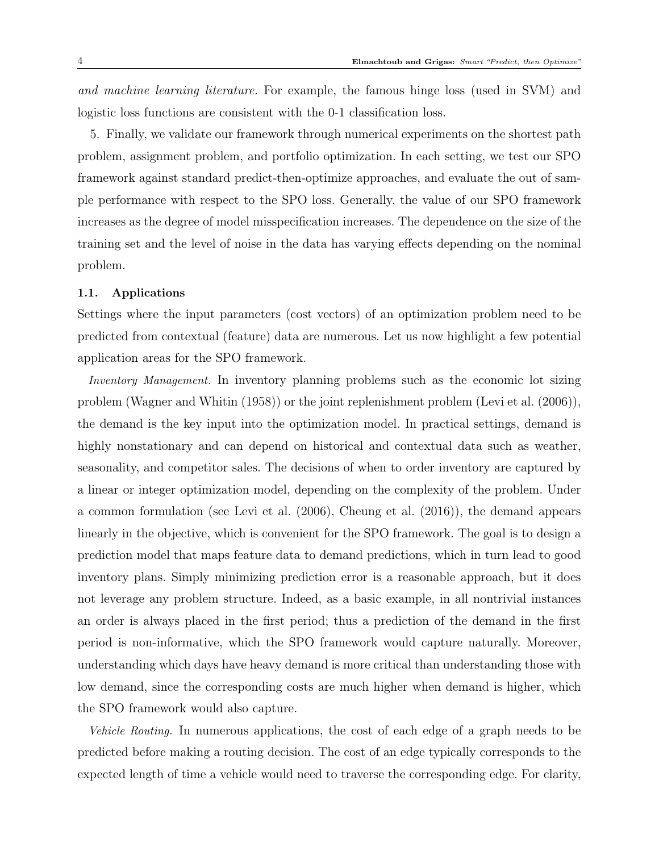and machine learning literature. For example, the famous hinge loss (used in SVM) and logistic loss functions are consistent with the 0-1 classification loss.

5. Finally, we validate our framework through numerical experiments on the shortest path problem, assignment problem, and portfolio optimization. In each setting, we test our SPO framework against standard predict-then-optimize approaches, and evaluate the out of sample performance with respect to the SPO loss. Generally, the value of our SPO framework increases as the degree of model misspecification increases. The dependence on the size of the training set and the level of noise in the data has varying effects depending on the nominal problem.

## 1.1. Applications

Settings where the input parameters (cost vectors) of an optimization problem need to be predicted from contextual (feature) data are numerous. Let us now highlight a few potential application areas for the SPO framework.

Inventory Management. In inventory planning problems such as the economic lot sizing problem (Wagner and Whitin (1958)) or the joint replenishment problem (Levi et al. (2006)), the demand is the key input into the optimization model. In practical settings, demand is highly nonstationary and can depend on historical and contextual data such as weather, seasonality, and competitor sales. The decisions of when to order inventory are captured by a linear or integer optimization model, depending on the complexity of the problem. Under a common formulation (see Levi et al. (2006), Cheung et al. (2016)), the demand appears linearly in the objective, which is convenient for the SPO framework. The goal is to design a prediction model that maps feature data to demand predictions, which in turn lead to good inventory plans. Simply minimizing prediction error is a reasonable approach, but it does not leverage any problem structure. Indeed, as a basic example, in all nontrivial instances an order is always placed in the first period; thus a prediction of the demand in the first period is non-informative, which the SPO framework would capture naturally. Moreover, understanding which days have heavy demand is more critical than understanding those with low demand, since the corresponding costs are much higher when demand is higher, which the SPO framework would also capture.

Vehicle Routing. In numerous applications, the cost of each edge of a graph needs to be predicted before making a routing decision. The cost of an edge typically corresponds to the expected length of time a vehicle would need to traverse the corresponding edge. For clarity,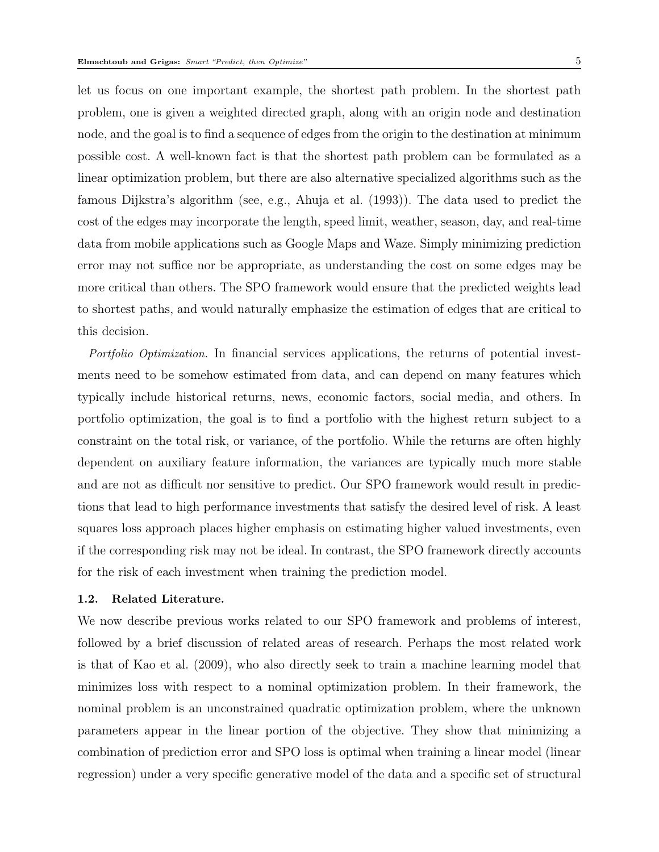let us focus on one important example, the shortest path problem. In the shortest path problem, one is given a weighted directed graph, along with an origin node and destination node, and the goal is to find a sequence of edges from the origin to the destination at minimum possible cost. A well-known fact is that the shortest path problem can be formulated as a linear optimization problem, but there are also alternative specialized algorithms such as the famous Dijkstra's algorithm (see, e.g., Ahuja et al. (1993)). The data used to predict the cost of the edges may incorporate the length, speed limit, weather, season, day, and real-time data from mobile applications such as Google Maps and Waze. Simply minimizing prediction error may not suffice nor be appropriate, as understanding the cost on some edges may be more critical than others. The SPO framework would ensure that the predicted weights lead to shortest paths, and would naturally emphasize the estimation of edges that are critical to this decision.

Portfolio Optimization. In financial services applications, the returns of potential investments need to be somehow estimated from data, and can depend on many features which typically include historical returns, news, economic factors, social media, and others. In portfolio optimization, the goal is to find a portfolio with the highest return subject to a constraint on the total risk, or variance, of the portfolio. While the returns are often highly dependent on auxiliary feature information, the variances are typically much more stable and are not as difficult nor sensitive to predict. Our SPO framework would result in predictions that lead to high performance investments that satisfy the desired level of risk. A least squares loss approach places higher emphasis on estimating higher valued investments, even if the corresponding risk may not be ideal. In contrast, the SPO framework directly accounts for the risk of each investment when training the prediction model.

## 1.2. Related Literature.

We now describe previous works related to our SPO framework and problems of interest, followed by a brief discussion of related areas of research. Perhaps the most related work is that of Kao et al. (2009), who also directly seek to train a machine learning model that minimizes loss with respect to a nominal optimization problem. In their framework, the nominal problem is an unconstrained quadratic optimization problem, where the unknown parameters appear in the linear portion of the objective. They show that minimizing a combination of prediction error and SPO loss is optimal when training a linear model (linear regression) under a very specific generative model of the data and a specific set of structural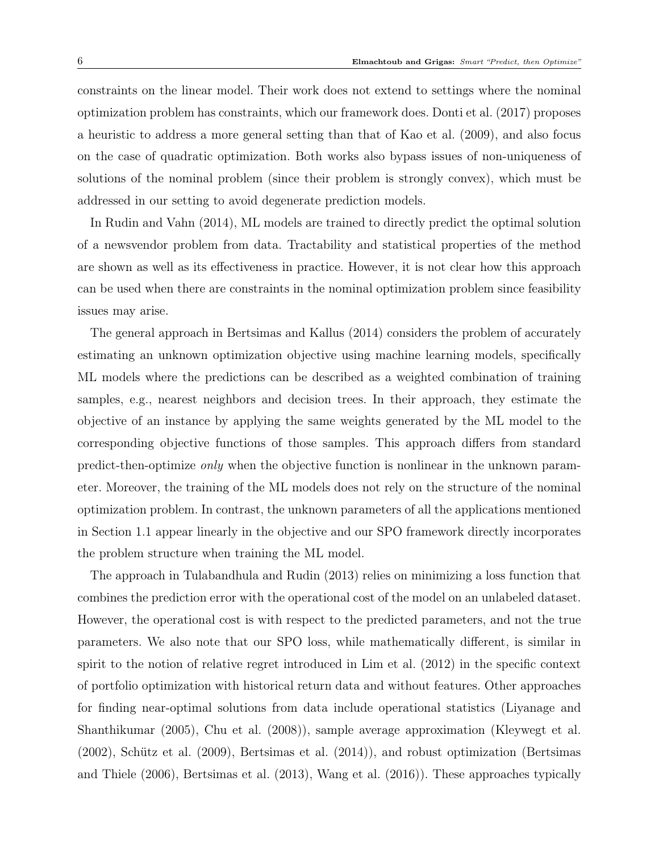constraints on the linear model. Their work does not extend to settings where the nominal optimization problem has constraints, which our framework does. Donti et al. (2017) proposes a heuristic to address a more general setting than that of Kao et al. (2009), and also focus on the case of quadratic optimization. Both works also bypass issues of non-uniqueness of solutions of the nominal problem (since their problem is strongly convex), which must be addressed in our setting to avoid degenerate prediction models.

In Rudin and Vahn (2014), ML models are trained to directly predict the optimal solution of a newsvendor problem from data. Tractability and statistical properties of the method are shown as well as its effectiveness in practice. However, it is not clear how this approach can be used when there are constraints in the nominal optimization problem since feasibility issues may arise.

The general approach in Bertsimas and Kallus (2014) considers the problem of accurately estimating an unknown optimization objective using machine learning models, specifically ML models where the predictions can be described as a weighted combination of training samples, e.g., nearest neighbors and decision trees. In their approach, they estimate the objective of an instance by applying the same weights generated by the ML model to the corresponding objective functions of those samples. This approach differs from standard predict-then-optimize only when the objective function is nonlinear in the unknown parameter. Moreover, the training of the ML models does not rely on the structure of the nominal optimization problem. In contrast, the unknown parameters of all the applications mentioned in Section 1.1 appear linearly in the objective and our SPO framework directly incorporates the problem structure when training the ML model.

The approach in Tulabandhula and Rudin (2013) relies on minimizing a loss function that combines the prediction error with the operational cost of the model on an unlabeled dataset. However, the operational cost is with respect to the predicted parameters, and not the true parameters. We also note that our SPO loss, while mathematically different, is similar in spirit to the notion of relative regret introduced in Lim et al. (2012) in the specific context of portfolio optimization with historical return data and without features. Other approaches for finding near-optimal solutions from data include operational statistics (Liyanage and Shanthikumar (2005), Chu et al. (2008)), sample average approximation (Kleywegt et al. (2002), Schütz et al. (2009), Bertsimas et al. (2014)), and robust optimization (Bertsimas and Thiele (2006), Bertsimas et al. (2013), Wang et al. (2016)). These approaches typically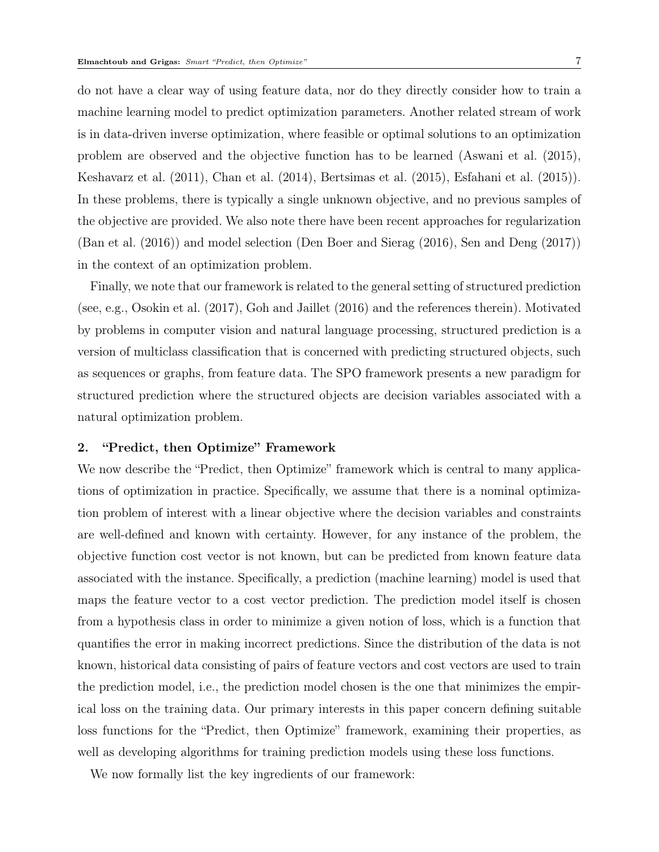do not have a clear way of using feature data, nor do they directly consider how to train a machine learning model to predict optimization parameters. Another related stream of work is in data-driven inverse optimization, where feasible or optimal solutions to an optimization problem are observed and the objective function has to be learned (Aswani et al. (2015), Keshavarz et al. (2011), Chan et al. (2014), Bertsimas et al. (2015), Esfahani et al. (2015)). In these problems, there is typically a single unknown objective, and no previous samples of the objective are provided. We also note there have been recent approaches for regularization (Ban et al. (2016)) and model selection (Den Boer and Sierag (2016), Sen and Deng (2017)) in the context of an optimization problem.

Finally, we note that our framework is related to the general setting of structured prediction (see, e.g., Osokin et al. (2017), Goh and Jaillet (2016) and the references therein). Motivated by problems in computer vision and natural language processing, structured prediction is a version of multiclass classification that is concerned with predicting structured objects, such as sequences or graphs, from feature data. The SPO framework presents a new paradigm for structured prediction where the structured objects are decision variables associated with a natural optimization problem.

## 2. "Predict, then Optimize" Framework

We now describe the "Predict, then Optimize" framework which is central to many applications of optimization in practice. Specifically, we assume that there is a nominal optimization problem of interest with a linear objective where the decision variables and constraints are well-defined and known with certainty. However, for any instance of the problem, the objective function cost vector is not known, but can be predicted from known feature data associated with the instance. Specifically, a prediction (machine learning) model is used that maps the feature vector to a cost vector prediction. The prediction model itself is chosen from a hypothesis class in order to minimize a given notion of loss, which is a function that quantifies the error in making incorrect predictions. Since the distribution of the data is not known, historical data consisting of pairs of feature vectors and cost vectors are used to train the prediction model, i.e., the prediction model chosen is the one that minimizes the empirical loss on the training data. Our primary interests in this paper concern defining suitable loss functions for the "Predict, then Optimize" framework, examining their properties, as well as developing algorithms for training prediction models using these loss functions.

We now formally list the key ingredients of our framework: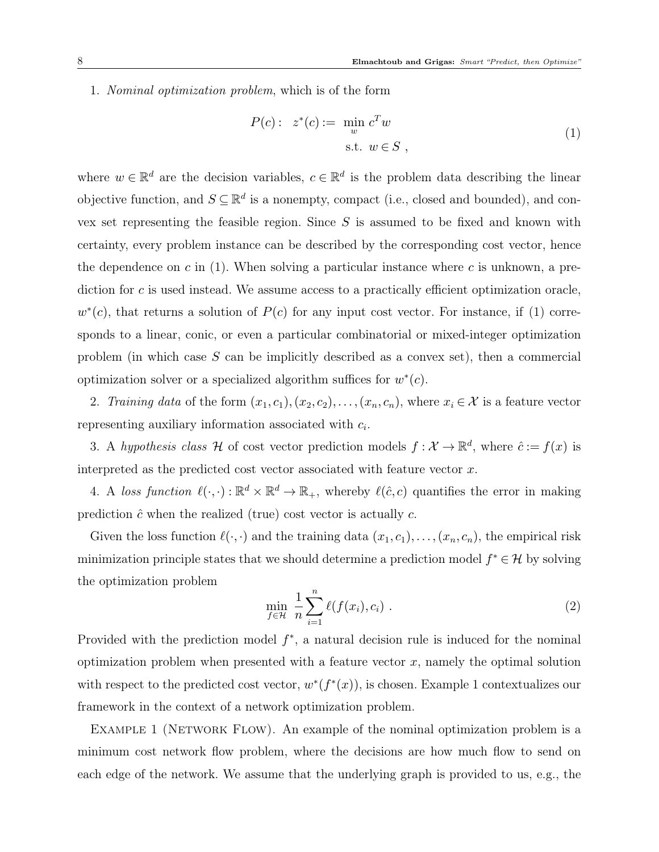## 1. Nominal optimization problem, which is of the form

$$
P(c): z^*(c) := \min_w c^T w
$$
  
s.t.  $w \in S$ , (1)

where  $w \in \mathbb{R}^d$  are the decision variables,  $c \in \mathbb{R}^d$  is the problem data describing the linear objective function, and  $S \subseteq \mathbb{R}^d$  is a nonempty, compact (i.e., closed and bounded), and convex set representing the feasible region. Since  $S$  is assumed to be fixed and known with certainty, every problem instance can be described by the corresponding cost vector, hence the dependence on c in (1). When solving a particular instance where c is unknown, a prediction for c is used instead. We assume access to a practically efficient optimization oracle,  $w^*(c)$ , that returns a solution of  $P(c)$  for any input cost vector. For instance, if (1) corresponds to a linear, conic, or even a particular combinatorial or mixed-integer optimization problem (in which case S can be implicitly described as a convex set), then a commercial optimization solver or a specialized algorithm suffices for  $w^*(c)$ .

2. Training data of the form  $(x_1, c_1), (x_2, c_2), \ldots, (x_n, c_n)$ , where  $x_i \in \mathcal{X}$  is a feature vector representing auxiliary information associated with  $c_i$ .

3. A hypothesis class H of cost vector prediction models  $f: \mathcal{X} \to \mathbb{R}^d$ , where  $\hat{c} := f(x)$  is interpreted as the predicted cost vector associated with feature vector  $x$ .

4. A loss function  $\ell(\cdot, \cdot) : \mathbb{R}^d \times \mathbb{R}^d \to \mathbb{R}_+$ , whereby  $\ell(\hat{c}, c)$  quantifies the error in making prediction  $\hat{c}$  when the realized (true) cost vector is actually  $c$ .

Given the loss function  $\ell(\cdot, \cdot)$  and the training data  $(x_1, c_1), \ldots, (x_n, c_n)$ , the empirical risk minimization principle states that we should determine a prediction model  $f^* \in \mathcal{H}$  by solving the optimization problem

$$
\min_{f \in \mathcal{H}} \frac{1}{n} \sum_{i=1}^{n} \ell(f(x_i), c_i) \tag{2}
$$

Provided with the prediction model  $f^*$ , a natural decision rule is induced for the nominal optimization problem when presented with a feature vector  $x$ , namely the optimal solution with respect to the predicted cost vector,  $w^*(f^*(x))$ , is chosen. Example 1 contextualizes our framework in the context of a network optimization problem.

EXAMPLE 1 (NETWORK FLOW). An example of the nominal optimization problem is a minimum cost network flow problem, where the decisions are how much flow to send on each edge of the network. We assume that the underlying graph is provided to us, e.g., the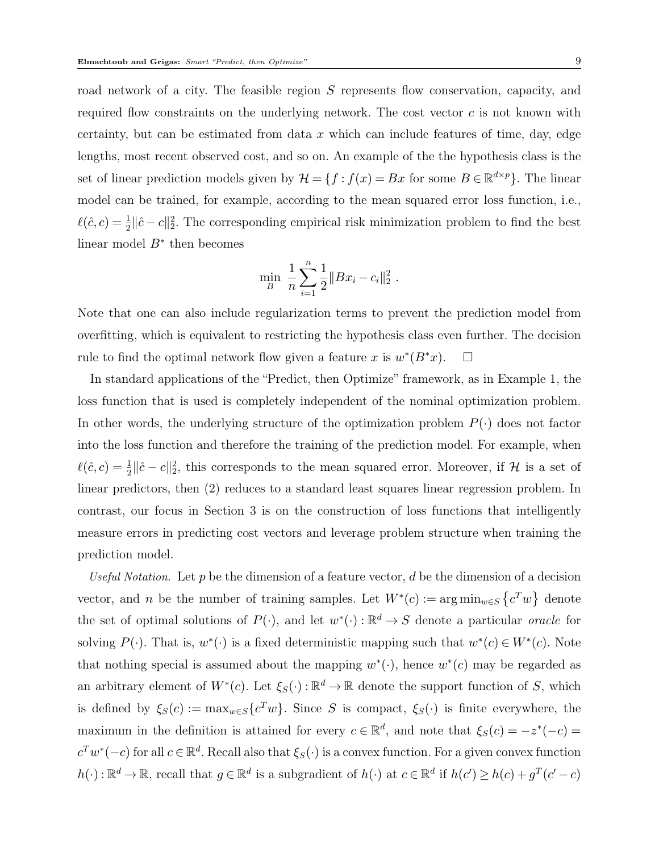road network of a city. The feasible region S represents flow conservation, capacity, and required flow constraints on the underlying network. The cost vector  $c$  is not known with certainty, but can be estimated from data  $x$  which can include features of time, day, edge lengths, most recent observed cost, and so on. An example of the the hypothesis class is the set of linear prediction models given by  $\mathcal{H} = \{f : f(x) = Bx \text{ for some } B \in \mathbb{R}^{d \times p}\}\.$  The linear model can be trained, for example, according to the mean squared error loss function, i.e.,  $\ell(\hat{c}, c) = \frac{1}{2} ||\hat{c} - c||_2^2$ . The corresponding empirical risk minimization problem to find the best linear model  $B^*$  then becomes

$$
\min_{B} \frac{1}{n} \sum_{i=1}^{n} \frac{1}{2} \|Bx_i - c_i\|_2^2.
$$

Note that one can also include regularization terms to prevent the prediction model from overfitting, which is equivalent to restricting the hypothesis class even further. The decision rule to find the optimal network flow given a feature x is  $w^*(B^*x)$ .  $\Box$ 

In standard applications of the "Predict, then Optimize" framework, as in Example 1, the loss function that is used is completely independent of the nominal optimization problem. In other words, the underlying structure of the optimization problem  $P(\cdot)$  does not factor into the loss function and therefore the training of the prediction model. For example, when  $\ell(\hat{c}, c) = \frac{1}{2} ||\hat{c} - c||_2^2$ , this corresponds to the mean squared error. Moreover, if H is a set of linear predictors, then (2) reduces to a standard least squares linear regression problem. In contrast, our focus in Section 3 is on the construction of loss functions that intelligently measure errors in predicting cost vectors and leverage problem structure when training the prediction model.

Useful Notation. Let p be the dimension of a feature vector,  $d$  be the dimension of a decision vector, and n be the number of training samples. Let  $W^*(c) := \arg \min_{w \in S} \{c^T w\}$  denote the set of optimal solutions of  $P(\cdot)$ , and let  $w^*(\cdot): \mathbb{R}^d \to S$  denote a particular *oracle* for solving  $P(\cdot)$ . That is,  $w^*(\cdot)$  is a fixed deterministic mapping such that  $w^*(c) \in W^*(c)$ . Note that nothing special is assumed about the mapping  $w^*(\cdot)$ , hence  $w^*(c)$  may be regarded as an arbitrary element of  $W^*(c)$ . Let  $\xi_S(\cdot): \mathbb{R}^d \to \mathbb{R}$  denote the support function of S, which is defined by  $\xi_S(c) := \max_{w \in S} \{c^T w\}$ . Since S is compact,  $\xi_S(\cdot)$  is finite everywhere, the maximum in the definition is attained for every  $c \in \mathbb{R}^d$ , and note that  $\xi_S(c) = -z^*(-c) =$  $c^T w^*(-c)$  for all  $c \in \mathbb{R}^d$ . Recall also that  $\xi_S(\cdot)$  is a convex function. For a given convex function  $h(\cdot): \mathbb{R}^d \to \mathbb{R}$ , recall that  $g \in \mathbb{R}^d$  is a subgradient of  $h(\cdot)$  at  $c \in \mathbb{R}^d$  if  $h(c') \ge h(c) + g^T(c'-c)$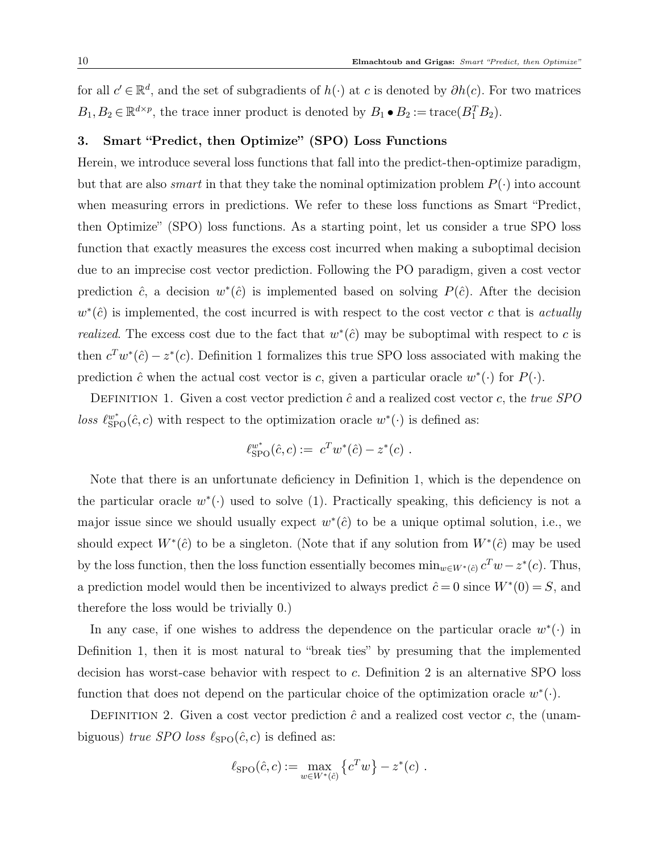for all  $c' \in \mathbb{R}^d$ , and the set of subgradients of  $h(\cdot)$  at c is denoted by  $\partial h(c)$ . For two matrices  $B_1, B_2 \in \mathbb{R}^{d \times p}$ , the trace inner product is denoted by  $B_1 \bullet B_2 := \text{trace}(B_1^T B_2)$ .

## 3. Smart "Predict, then Optimize" (SPO) Loss Functions

Herein, we introduce several loss functions that fall into the predict-then-optimize paradigm, but that are also *smart* in that they take the nominal optimization problem  $P(\cdot)$  into account when measuring errors in predictions. We refer to these loss functions as Smart "Predict, then Optimize" (SPO) loss functions. As a starting point, let us consider a true SPO loss function that exactly measures the excess cost incurred when making a suboptimal decision due to an imprecise cost vector prediction. Following the PO paradigm, given a cost vector prediction  $\hat{c}$ , a decision  $w^*(\hat{c})$  is implemented based on solving  $P(\hat{c})$ . After the decision  $w^*(\hat{c})$  is implemented, the cost incurred is with respect to the cost vector c that is actually *realized*. The excess cost due to the fact that  $w^*(\hat{c})$  may be suboptimal with respect to c is then  $c^T w^*(\hat{c}) - z^*(c)$ . Definition 1 formalizes this true SPO loss associated with making the prediction  $\hat{c}$  when the actual cost vector is c, given a particular oracle  $w^*(\cdot)$  for  $P(\cdot)$ .

DEFINITION 1. Given a cost vector prediction  $\hat{c}$  and a realized cost vector c, the true SPO loss  $\ell_{\text{SPO}}^{w^*}(\hat{c}, c)$  with respect to the optimization oracle  $w^*(\cdot)$  is defined as:

$$
\ell_{\rm SPO}^{w^*}(\hat{c},c) := c^T w^*(\hat{c}) - z^*(c) .
$$

Note that there is an unfortunate deficiency in Definition 1, which is the dependence on the particular oracle  $w^*(\cdot)$  used to solve (1). Practically speaking, this deficiency is not a major issue since we should usually expect  $w^*(\hat{c})$  to be a unique optimal solution, i.e., we should expect  $W^*(\hat{c})$  to be a singleton. (Note that if any solution from  $W^*(\hat{c})$  may be used by the loss function, then the loss function essentially becomes  $\min_{w \in W^*(\hat{c})} c^T w - z^*(c)$ . Thus, a prediction model would then be incentivized to always predict  $\hat{c} = 0$  since  $W^*(0) = S$ , and therefore the loss would be trivially 0.)

In any case, if one wishes to address the dependence on the particular oracle  $w^*(\cdot)$  in Definition 1, then it is most natural to "break ties" by presuming that the implemented decision has worst-case behavior with respect to c. Definition 2 is an alternative SPO loss function that does not depend on the particular choice of the optimization oracle  $w^*(\cdot)$ .

DEFINITION 2. Given a cost vector prediction  $\hat{c}$  and a realized cost vector c, the (unambiguous) true SPO loss  $\ell_{\text{SPO}}(\hat{c}, c)$  is defined as:

$$
\ell_{\rm SPO}(\hat{c},c) := \max_{w \in W^*(\hat{c})} \left\{ c^T w \right\} - z^*(c) \ .
$$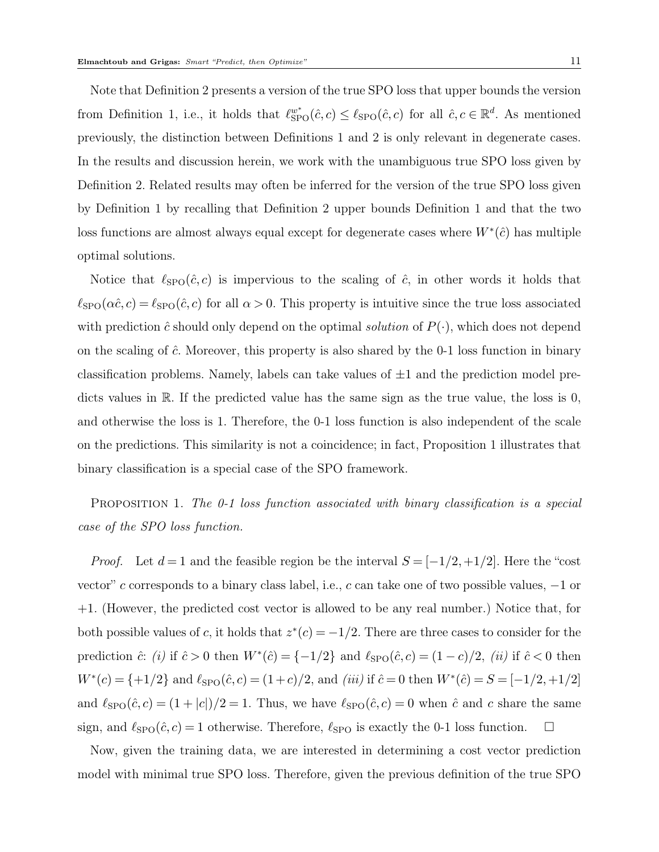Note that Definition 2 presents a version of the true SPO loss that upper bounds the version from Definition 1, i.e., it holds that  $\ell_{\text{SPO}}^{w^*}(\hat{c}, c) \leq \ell_{\text{SPO}}(\hat{c}, c)$  for all  $\hat{c}, c \in \mathbb{R}^d$ . As mentioned previously, the distinction between Definitions 1 and 2 is only relevant in degenerate cases. In the results and discussion herein, we work with the unambiguous true SPO loss given by Definition 2. Related results may often be inferred for the version of the true SPO loss given by Definition 1 by recalling that Definition 2 upper bounds Definition 1 and that the two loss functions are almost always equal except for degenerate cases where  $W^*(\hat{c})$  has multiple optimal solutions.

Notice that  $\ell_{\text{SPO}}(\hat{c}, c)$  is impervious to the scaling of  $\hat{c}$ , in other words it holds that  $\ell_{\text{SPO}}(\alpha \hat{c}, c) = \ell_{\text{SPO}}(\hat{c}, c)$  for all  $\alpha > 0$ . This property is intuitive since the true loss associated with prediction  $\hat{c}$  should only depend on the optimal *solution* of  $P(\cdot)$ , which does not depend on the scaling of  $\hat{c}$ . Moreover, this property is also shared by the 0-1 loss function in binary classification problems. Namely, labels can take values of  $\pm 1$  and the prediction model predicts values in R. If the predicted value has the same sign as the true value, the loss is 0, and otherwise the loss is 1. Therefore, the 0-1 loss function is also independent of the scale on the predictions. This similarity is not a coincidence; in fact, Proposition 1 illustrates that binary classification is a special case of the SPO framework.

PROPOSITION 1. The 0-1 loss function associated with binary classification is a special case of the SPO loss function.

*Proof.* Let  $d = 1$  and the feasible region be the interval  $S = [-1/2, +1/2]$ . Here the "cost" vector" c corresponds to a binary class label, i.e., c can take one of two possible values, −1 or +1. (However, the predicted cost vector is allowed to be any real number.) Notice that, for both possible values of c, it holds that  $z^*(c) = -1/2$ . There are three cases to consider for the prediction  $\hat{c}$ : (i) if  $\hat{c} > 0$  then  $W^*(\hat{c}) = \{-1/2\}$  and  $\ell_{\text{SPO}}(\hat{c}, c) = (1 - c)/2$ , (ii) if  $\hat{c} < 0$  then  $W^*(c) = \{+1/2\}$  and  $\ell_{\text{SPO}}(\hat{c}, c) = (1+c)/2$ , and *(iii)* if  $\hat{c} = 0$  then  $W^*(\hat{c}) = S = [-1/2, +1/2]$ and  $\ell_{\text{SPO}}(\hat{c}, c) = (1 + |c|)/2 = 1$ . Thus, we have  $\ell_{\text{SPO}}(\hat{c}, c) = 0$  when  $\hat{c}$  and c share the same sign, and  $\ell_{\text{SPO}}(\hat{c}, c) = 1$  otherwise. Therefore,  $\ell_{\text{SPO}}$  is exactly the 0-1 loss function.  $\square$ 

Now, given the training data, we are interested in determining a cost vector prediction model with minimal true SPO loss. Therefore, given the previous definition of the true SPO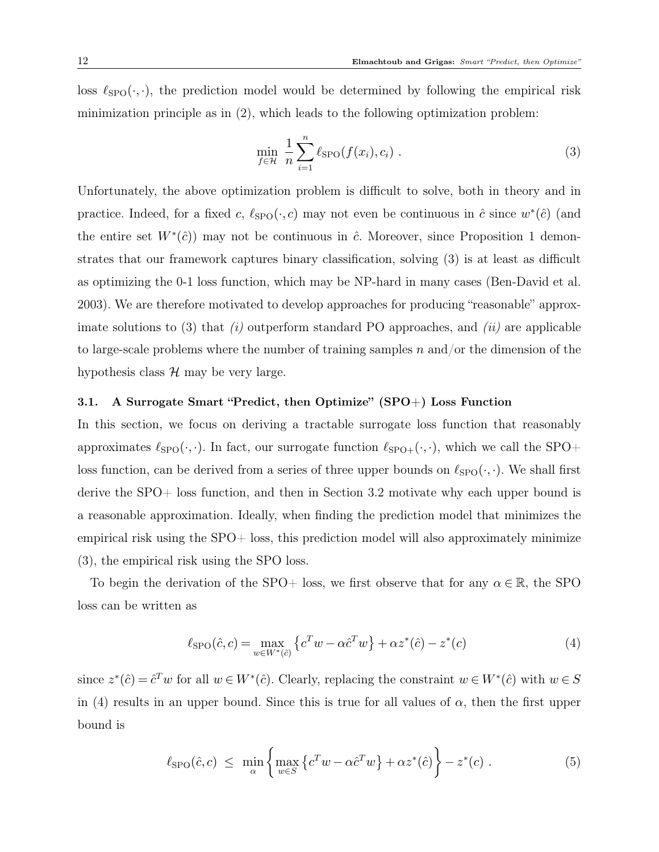loss  $\ell_{\text{SPO}}(\cdot, \cdot)$ , the prediction model would be determined by following the empirical risk minimization principle as in (2), which leads to the following optimization problem:

$$
\min_{f \in \mathcal{H}} \frac{1}{n} \sum_{i=1}^{n} \ell_{\text{SPO}}(f(x_i), c_i) \tag{3}
$$

Unfortunately, the above optimization problem is difficult to solve, both in theory and in practice. Indeed, for a fixed c,  $\ell_{\text{SPO}}(\cdot, c)$  may not even be continuous in  $\hat{c}$  since  $w^*(\hat{c})$  (and the entire set  $W^*(\hat{c})$  may not be continuous in  $\hat{c}$ . Moreover, since Proposition 1 demonstrates that our framework captures binary classification, solving (3) is at least as difficult as optimizing the 0-1 loss function, which may be NP-hard in many cases (Ben-David et al. 2003). We are therefore motivated to develop approaches for producing "reasonable" approximate solutions to (3) that  $(i)$  outperform standard PO approaches, and  $(ii)$  are applicable to large-scale problems where the number of training samples  $n$  and/or the dimension of the hypothesis class  $\mathcal{H}$  may be very large.

# 3.1. A Surrogate Smart "Predict, then Optimize" (SPO+) Loss Function

In this section, we focus on deriving a tractable surrogate loss function that reasonably approximates  $\ell_{\text{SPO}}(\cdot, \cdot)$ . In fact, our surrogate function  $\ell_{\text{SPO+}}(\cdot, \cdot)$ , which we call the SPO+ loss function, can be derived from a series of three upper bounds on  $\ell_{\text{SPO}}(\cdot, \cdot)$ . We shall first derive the SPO+ loss function, and then in Section 3.2 motivate why each upper bound is a reasonable approximation. Ideally, when finding the prediction model that minimizes the empirical risk using the SPO+ loss, this prediction model will also approximately minimize (3), the empirical risk using the SPO loss.

To begin the derivation of the SPO+ loss, we first observe that for any  $\alpha \in \mathbb{R}$ , the SPO loss can be written as

$$
\ell_{\rm SPO}(\hat{c}, c) = \max_{w \in W^*(\hat{c})} \left\{ c^T w - \alpha \hat{c}^T w \right\} + \alpha z^*(\hat{c}) - z^*(c) \tag{4}
$$

since  $z^*(\hat{c}) = \hat{c}^T w$  for all  $w \in W^*(\hat{c})$ . Clearly, replacing the constraint  $w \in W^*(\hat{c})$  with  $w \in S$ in (4) results in an upper bound. Since this is true for all values of  $\alpha$ , then the first upper bound is

$$
\ell_{\rm SPO}(\hat{c},c) \leq \min_{\alpha} \left\{ \max_{w \in S} \left\{ c^T w - \alpha \hat{c}^T w \right\} + \alpha z^*(\hat{c}) \right\} - z^*(c) . \tag{5}
$$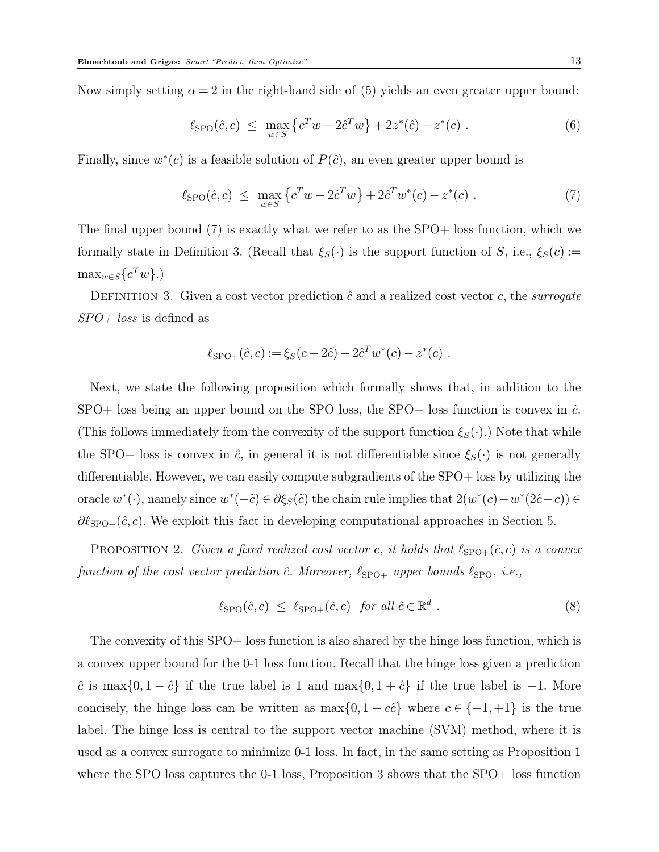Now simply setting  $\alpha = 2$  in the right-hand side of (5) yields an even greater upper bound:

$$
\ell_{\rm SPO}(\hat{c}, c) \le \max_{w \in S} \left\{ c^T w - 2\hat{c}^T w \right\} + 2z^*(\hat{c}) - z^*(c) \ . \tag{6}
$$

Finally, since  $w^*(c)$  is a feasible solution of  $P(\hat{c})$ , an even greater upper bound is

$$
\ell_{\rm SPO}(\hat{c}, c) \le \max_{w \in S} \left\{ c^T w - 2\hat{c}^T w \right\} + 2\hat{c}^T w^*(c) - z^*(c) \ . \tag{7}
$$

The final upper bound (7) is exactly what we refer to as the SPO+ loss function, which we formally state in Definition 3. (Recall that  $\xi_S(\cdot)$  is the support function of S, i.e.,  $\xi_S(c) :=$  $\max_{w \in S} \{c^T w\}.$ 

DEFINITION 3. Given a cost vector prediction  $\hat{c}$  and a realized cost vector c, the surrogate  $SPO+$  loss is defined as

$$
\ell_{\text{SPO+}}(\hat{c}, c) := \xi_S(c - 2\hat{c}) + 2\hat{c}^T w^*(c) - z^*(c) .
$$

Next, we state the following proposition which formally shows that, in addition to the SPO+ loss being an upper bound on the SPO loss, the SPO+ loss function is convex in  $\hat{c}$ . (This follows immediately from the convexity of the support function  $\xi_S(\cdot)$ .) Note that while the SPO+ loss is convex in  $\hat{c}$ , in general it is not differentiable since  $\xi_{S}(\cdot)$  is not generally differentiable. However, we can easily compute subgradients of the SPO+ loss by utilizing the oracle  $w^*(\cdot)$ , namely since  $w^*(-\tilde{c}) \in \partial \xi_S(\tilde{c})$  the chain rule implies that  $2(w^*(c) - w^*(2\hat{c} - c)) \in$  $\partial \ell_{\text{SPO+}}(\hat{c}, c)$ . We exploit this fact in developing computational approaches in Section 5.

PROPOSITION 2. Given a fixed realized cost vector c, it holds that  $\ell_{\text{SPO+}}(\hat{c}, c)$  is a convex function of the cost vector prediction  $\hat{c}$ . Moreover,  $\ell_{\text{SPO+}}$  upper bounds  $\ell_{\text{SPO}}$ , i.e.,

$$
\ell_{\text{SPO}}(\hat{c}, c) \leq \ell_{\text{SPO+}}(\hat{c}, c) \quad \text{for all } \hat{c} \in \mathbb{R}^d \ . \tag{8}
$$

The convexity of this SPO+ loss function is also shared by the hinge loss function, which is a convex upper bound for the 0-1 loss function. Recall that the hinge loss given a prediction  $\hat{c}$  is max $\{0, 1 - \hat{c}\}$  if the true label is 1 and max $\{0, 1 + \hat{c}\}$  if the true label is −1. More concisely, the hinge loss can be written as  $\max\{0, 1 - c\hat{c}\}\$  where  $c \in \{-1, +1\}$  is the true label. The hinge loss is central to the support vector machine (SVM) method, where it is used as a convex surrogate to minimize 0-1 loss. In fact, in the same setting as Proposition 1 where the SPO loss captures the 0-1 loss, Proposition 3 shows that the SPO+ loss function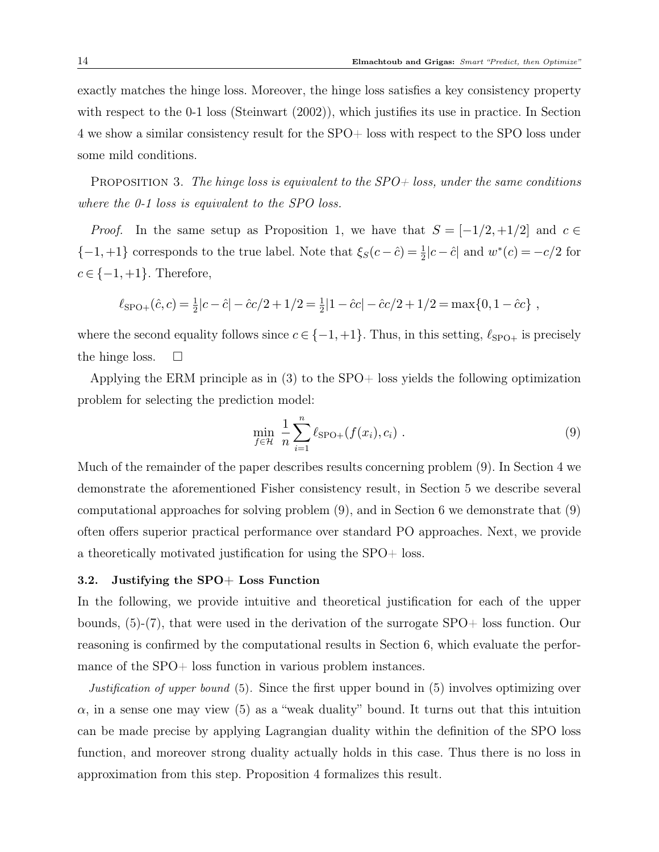exactly matches the hinge loss. Moreover, the hinge loss satisfies a key consistency property with respect to the 0-1 loss (Steinwart  $(2002)$ ), which justifies its use in practice. In Section 4 we show a similar consistency result for the SPO+ loss with respect to the SPO loss under some mild conditions.

PROPOSITION 3. The hinge loss is equivalent to the  $SPO+$  loss, under the same conditions where the 0-1 loss is equivalent to the SPO loss.

*Proof.* In the same setup as Proposition 1, we have that  $S = [-1/2, +1/2]$  and  $c \in$  $\{-1,+1\}$  corresponds to the true label. Note that  $\xi_S(c-\hat{c}) = \frac{1}{2}|c-\hat{c}|$  and  $w^*(c) = -c/2$  for  $c \in \{-1, +1\}$ . Therefore,

$$
\ell_{\rm SPO+}(\hat{c}, c) = \frac{1}{2}|c - \hat{c}| - \hat{c}c/2 + 1/2 = \frac{1}{2}|1 - \hat{c}c| - \hat{c}c/2 + 1/2 = \max\{0, 1 - \hat{c}c\},
$$

where the second equality follows since  $c \in \{-1, +1\}$ . Thus, in this setting,  $\ell_{\text{SPO+}}$  is precisely the hinge loss.  $\Box$ 

Applying the ERM principle as in (3) to the SPO+ loss yields the following optimization problem for selecting the prediction model:

$$
\min_{f \in \mathcal{H}} \frac{1}{n} \sum_{i=1}^{n} \ell_{\text{SPO+}}(f(x_i), c_i) \tag{9}
$$

Much of the remainder of the paper describes results concerning problem (9). In Section 4 we demonstrate the aforementioned Fisher consistency result, in Section 5 we describe several computational approaches for solving problem (9), and in Section 6 we demonstrate that (9) often offers superior practical performance over standard PO approaches. Next, we provide a theoretically motivated justification for using the SPO+ loss.

## 3.2. Justifying the SPO+ Loss Function

In the following, we provide intuitive and theoretical justification for each of the upper bounds, (5)-(7), that were used in the derivation of the surrogate SPO+ loss function. Our reasoning is confirmed by the computational results in Section 6, which evaluate the performance of the SPO+ loss function in various problem instances.

Justification of upper bound (5). Since the first upper bound in (5) involves optimizing over  $\alpha$ , in a sense one may view (5) as a "weak duality" bound. It turns out that this intuition can be made precise by applying Lagrangian duality within the definition of the SPO loss function, and moreover strong duality actually holds in this case. Thus there is no loss in approximation from this step. Proposition 4 formalizes this result.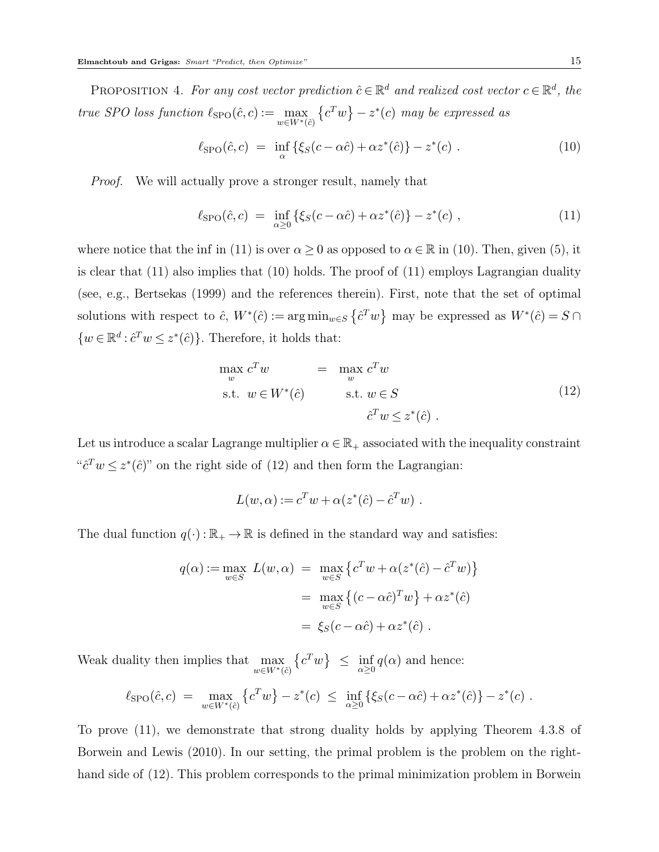PROPOSITION 4. For any cost vector prediction  $\hat{c} \in \mathbb{R}^d$  and realized cost vector  $c \in \mathbb{R}^d$ , the true SPO loss function  $\ell_{\text{SPO}}(\hat{c}, c) := \max_{w \in W^*(\hat{c})}$  $\{c^T w\} - z^*(c)$  may be expressed as

$$
\ell_{\rm SPO}(\hat{c},c) = \inf_{\alpha} \{ \xi_S(c - \alpha \hat{c}) + \alpha z^*(\hat{c}) \} - z^*(c) . \tag{10}
$$

*Proof.* We will actually prove a stronger result, namely that

$$
\ell_{\rm SPO}(\hat{c}, c) = \inf_{\alpha \ge 0} \{ \xi_S(c - \alpha \hat{c}) + \alpha z^*(\hat{c}) \} - z^*(c) , \qquad (11)
$$

where notice that the inf in (11) is over  $\alpha \geq 0$  as opposed to  $\alpha \in \mathbb{R}$  in (10). Then, given (5), it is clear that (11) also implies that (10) holds. The proof of (11) employs Lagrangian duality (see, e.g., Bertsekas (1999) and the references therein). First, note that the set of optimal solutions with respect to  $\hat{c}$ ,  $W^*(\hat{c}) := \arg \min_{w \in S} \{\hat{c}^T w\}$  may be expressed as  $W^*(\hat{c}) = S \cap$  $\{w \in \mathbb{R}^d : \hat{c}^T w \leq z^*(\hat{c})\}.$  Therefore, it holds that:

$$
\max_{w} c^{T} w = \max_{w} c^{T} w
$$
  
s.t.  $w \in W^{*}(\hat{c})$  s.t.  $w \in S$   
 $\hat{c}^{T} w \leq z^{*}(\hat{c})$ . (12)

Let us introduce a scalar Lagrange multiplier  $\alpha \in \mathbb{R}_+$  associated with the inequality constraint " $\hat{c}^T w \leq z^*(\hat{c})$ " on the right side of (12) and then form the Lagrangian:

$$
L(w, \alpha) := c^T w + \alpha (z^*(\hat{c}) - \hat{c}^T w) .
$$

The dual function  $q(\cdot): \mathbb{R}_+ \to \mathbb{R}$  is defined in the standard way and satisfies:

$$
q(\alpha) := \max_{w \in S} L(w, \alpha) = \max_{w \in S} \{c^T w + \alpha (z^*(\hat{c}) - \hat{c}^T w)\}
$$

$$
= \max_{w \in S} \{ (c - \alpha \hat{c})^T w \} + \alpha z^*(\hat{c})
$$

$$
= \xi_S (c - \alpha \hat{c}) + \alpha z^*(\hat{c}).
$$

Weak duality then implies that  $\max_{w \in W^*(\hat{c})}$  $\left\{c^T w\right\} \leq \inf_{\alpha \geq 0} q(\alpha)$  and hence:

$$
\ell_{\rm SPO}(\hat{c},c) = \max_{w \in W^*(\hat{c})} \left\{ c^T w \right\} - z^*(c) \leq \inf_{\alpha \geq 0} \left\{ \xi_S(c - \alpha \hat{c}) + \alpha z^*(\hat{c}) \right\} - z^*(c) .
$$

To prove (11), we demonstrate that strong duality holds by applying Theorem 4.3.8 of Borwein and Lewis (2010). In our setting, the primal problem is the problem on the righthand side of  $(12)$ . This problem corresponds to the primal minimization problem in Borwein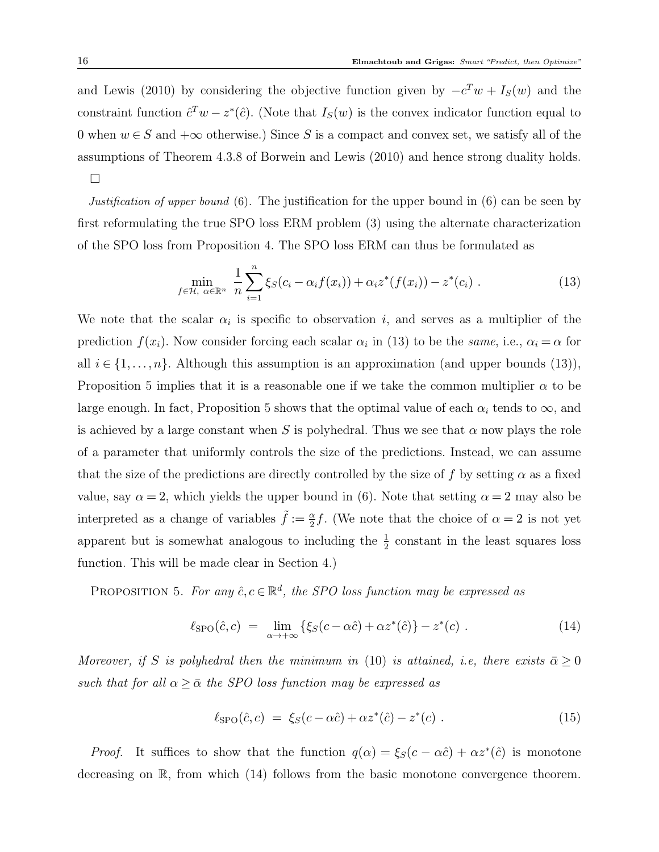and Lewis (2010) by considering the objective function given by  $-c^Tw + I_S(w)$  and the constraint function  $\hat{c}^T w - z^*(\hat{c})$ . (Note that  $I_S(w)$  is the convex indicator function equal to 0 when  $w \in S$  and  $+\infty$  otherwise.) Since S is a compact and convex set, we satisfy all of the assumptions of Theorem 4.3.8 of Borwein and Lewis (2010) and hence strong duality holds.  $\Box$ 

*Justification of upper bound* (6). The justification for the upper bound in (6) can be seen by first reformulating the true SPO loss ERM problem (3) using the alternate characterization of the SPO loss from Proposition 4. The SPO loss ERM can thus be formulated as

$$
\min_{f \in \mathcal{H}, \ \alpha \in \mathbb{R}^n} \ \frac{1}{n} \sum_{i=1}^n \xi_S(c_i - \alpha_i f(x_i)) + \alpha_i z^*(f(x_i)) - z^*(c_i) \ . \tag{13}
$$

We note that the scalar  $\alpha_i$  is specific to observation i, and serves as a multiplier of the prediction  $f(x_i)$ . Now consider forcing each scalar  $\alpha_i$  in (13) to be the same, i.e.,  $\alpha_i = \alpha$  for all  $i \in \{1, \ldots, n\}$ . Although this assumption is an approximation (and upper bounds (13)), Proposition 5 implies that it is a reasonable one if we take the common multiplier  $\alpha$  to be large enough. In fact, Proposition 5 shows that the optimal value of each  $\alpha_i$  tends to  $\infty$ , and is achieved by a large constant when S is polyhedral. Thus we see that  $\alpha$  now plays the role of a parameter that uniformly controls the size of the predictions. Instead, we can assume that the size of the predictions are directly controlled by the size of f by setting  $\alpha$  as a fixed value, say  $\alpha = 2$ , which yields the upper bound in (6). Note that setting  $\alpha = 2$  may also be interpreted as a change of variables  $\tilde{f} := \frac{\alpha}{2} f$ . (We note that the choice of  $\alpha = 2$  is not yet apparent but is somewhat analogous to including the  $\frac{1}{2}$  constant in the least squares loss function. This will be made clear in Section 4.)

PROPOSITION 5. For any  $\hat{c}, c \in \mathbb{R}^d$ , the SPO loss function may be expressed as

$$
\ell_{\rm SPO}(\hat{c}, c) = \lim_{\alpha \to +\infty} \{ \xi_S(c - \alpha \hat{c}) + \alpha z^*(\hat{c}) \} - z^*(c) . \tag{14}
$$

Moreover, if S is polyhedral then the minimum in (10) is attained, i.e, there exists  $\bar{\alpha} \geq 0$ such that for all  $\alpha \geq \bar{\alpha}$  the SPO loss function may be expressed as

$$
\ell_{\rm SPO}(\hat{c}, c) = \xi_S(c - \alpha \hat{c}) + \alpha z^*(\hat{c}) - z^*(c) . \qquad (15)
$$

*Proof.* It suffices to show that the function  $q(\alpha) = \xi_S(c - \alpha \hat{c}) + \alpha z^*(\hat{c})$  is monotone decreasing on R, from which (14) follows from the basic monotone convergence theorem.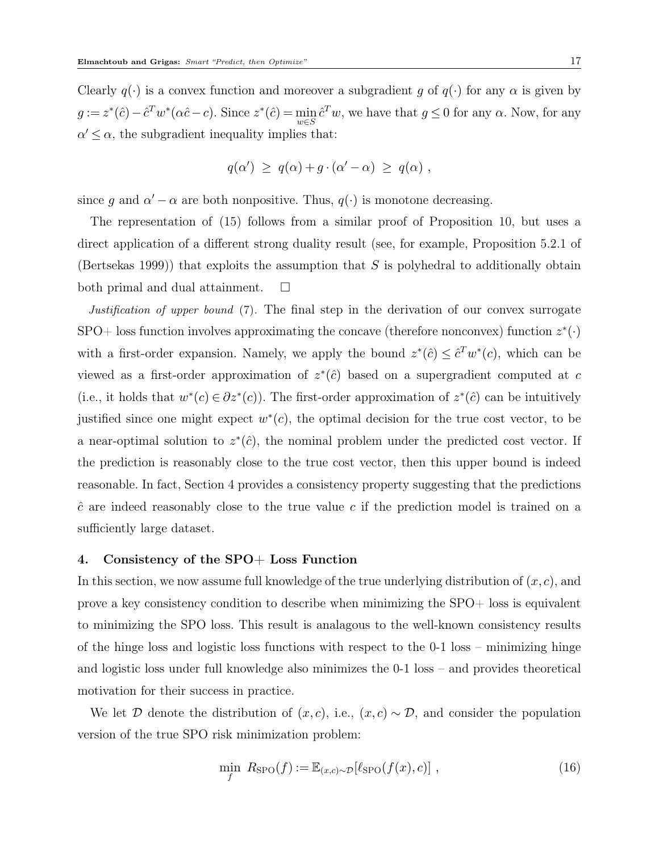Clearly  $q(\cdot)$  is a convex function and moreover a subgradient g of  $q(\cdot)$  for any  $\alpha$  is given by  $g := z^*(\hat{c}) - \hat{c}^T w^*(\alpha \hat{c} - c)$ . Since  $z^*(\hat{c}) = \min_{w \in S} \hat{c}^T w$ , we have that  $g \le 0$  for any  $\alpha$ . Now, for any  $\alpha' \leq \alpha$ , the subgradient inequality implies that:

$$
q(\alpha') \ge q(\alpha) + g \cdot (\alpha' - \alpha) \ge q(\alpha) ,
$$

since g and  $\alpha' - \alpha$  are both nonpositive. Thus,  $q(\cdot)$  is monotone decreasing.

The representation of (15) follows from a similar proof of Proposition 10, but uses a direct application of a different strong duality result (see, for example, Proposition 5.2.1 of (Bertsekas 1999)) that exploits the assumption that  $S$  is polyhedral to additionally obtain both primal and dual attainment.  $\square$ 

Justification of upper bound (7). The final step in the derivation of our convex surrogate SPO+ loss function involves approximating the concave (therefore nonconvex) function  $z^*(\cdot)$ with a first-order expansion. Namely, we apply the bound  $z^*(\hat{c}) \leq \hat{c}^T w^*(c)$ , which can be viewed as a first-order approximation of  $z^*(\hat{c})$  based on a supergradient computed at c (i.e., it holds that  $w^*(c) \in \partial z^*(c)$ ). The first-order approximation of  $z^*(\hat{c})$  can be intuitively justified since one might expect  $w^*(c)$ , the optimal decision for the true cost vector, to be a near-optimal solution to  $z^*(\hat{c})$ , the nominal problem under the predicted cost vector. If the prediction is reasonably close to the true cost vector, then this upper bound is indeed reasonable. In fact, Section 4 provides a consistency property suggesting that the predictions  $\hat{c}$  are indeed reasonably close to the true value c if the prediction model is trained on a sufficiently large dataset.

### 4. Consistency of the SPO+ Loss Function

In this section, we now assume full knowledge of the true underlying distribution of  $(x, c)$ , and prove a key consistency condition to describe when minimizing the SPO+ loss is equivalent to minimizing the SPO loss. This result is analagous to the well-known consistency results of the hinge loss and logistic loss functions with respect to the 0-1 loss – minimizing hinge and logistic loss under full knowledge also minimizes the 0-1 loss – and provides theoretical motivation for their success in practice.

We let D denote the distribution of  $(x, c)$ , i.e.,  $(x, c) \sim \mathcal{D}$ , and consider the population version of the true SPO risk minimization problem:

$$
\min_{f} R_{\rm SPO}(f) := \mathbb{E}_{(x,c)\sim\mathcal{D}}[\ell_{\rm SPO}(f(x), c)], \qquad (16)
$$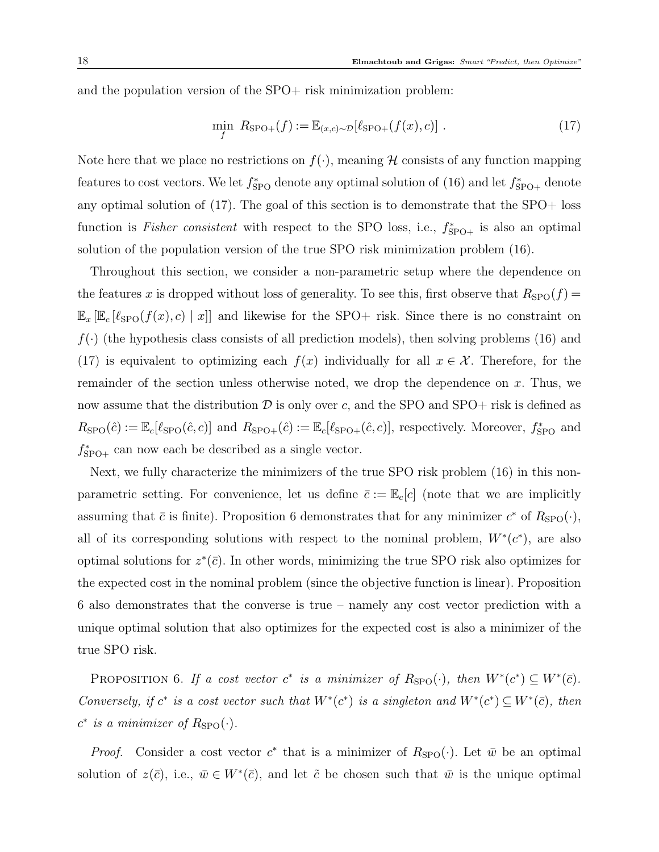and the population version of the  $SPO+$  risk minimization problem:

$$
\min_{f} R_{\rm SPO+}(f) := \mathbb{E}_{(x,c)\sim\mathcal{D}}[\ell_{\rm SPO+}(f(x), c)] . \qquad (17)
$$

Note here that we place no restrictions on  $f(.)$ , meaning H consists of any function mapping features to cost vectors. We let  $f_{\text{SPO}}^{*}$  denote any optimal solution of (16) and let  $f_{\text{SPO+}}^{*}$  denote any optimal solution of  $(17)$ . The goal of this section is to demonstrate that the SPO+ loss function is *Fisher consistent* with respect to the SPO loss, i.e.,  $f_{\text{SPO+}}^*$  is also an optimal solution of the population version of the true SPO risk minimization problem (16).

Throughout this section, we consider a non-parametric setup where the dependence on the features x is dropped without loss of generality. To see this, first observe that  $R_{\rm SPO}(f)$  =  $\mathbb{E}_x[\mathbb{E}_c[\ell_{\text{SPO}}(f(x), c) | x]]$  and likewise for the SPO+ risk. Since there is no constraint on  $f(\cdot)$  (the hypothesis class consists of all prediction models), then solving problems (16) and (17) is equivalent to optimizing each  $f(x)$  individually for all  $x \in \mathcal{X}$ . Therefore, for the remainder of the section unless otherwise noted, we drop the dependence on  $x$ . Thus, we now assume that the distribution  $\mathcal D$  is only over c, and the SPO and SPO+ risk is defined as  $R_{\text{SPO}}(\hat{c}) := \mathbb{E}_c[\ell_{\text{SPO}}(\hat{c}, c)]$  and  $R_{\text{SPO+}}(\hat{c}) := \mathbb{E}_c[\ell_{\text{SPO+}}(\hat{c}, c)]$ , respectively. Moreover,  $f_{\text{SPO}}^*$  and  $f^*_{\text{SPO+}}$  can now each be described as a single vector.

Next, we fully characterize the minimizers of the true SPO risk problem (16) in this nonparametric setting. For convenience, let us define  $\bar{c} := \mathbb{E}_c[c]$  (note that we are implicitly assuming that  $\bar{c}$  is finite). Proposition 6 demonstrates that for any minimizer  $c^*$  of  $R_{\text{SPO}}(\cdot)$ , all of its corresponding solutions with respect to the nominal problem,  $W^*(c^*)$ , are also optimal solutions for  $z^*(\bar{c})$ . In other words, minimizing the true SPO risk also optimizes for the expected cost in the nominal problem (since the objective function is linear). Proposition 6 also demonstrates that the converse is true – namely any cost vector prediction with a unique optimal solution that also optimizes for the expected cost is also a minimizer of the true SPO risk.

PROPOSITION 6. If a cost vector  $c^*$  is a minimizer of  $R_{\text{SPO}}(\cdot)$ , then  $W^*(c^*) \subseteq W^*(\bar{c})$ . Conversely, if  $c^*$  is a cost vector such that  $W^*(c^*)$  is a singleton and  $W^*(c^*) \subseteq W^*(\bar{c})$ , then  $c^*$  is a minimizer of  $R_{\text{SPO}}(\cdot)$ .

*Proof.* Consider a cost vector  $c^*$  that is a minimizer of  $R_{\text{SPO}}(\cdot)$ . Let  $\bar{w}$  be an optimal solution of  $z(\bar{c})$ , i.e.,  $\bar{w} \in W^*(\bar{c})$ , and let  $\tilde{c}$  be chosen such that  $\bar{w}$  is the unique optimal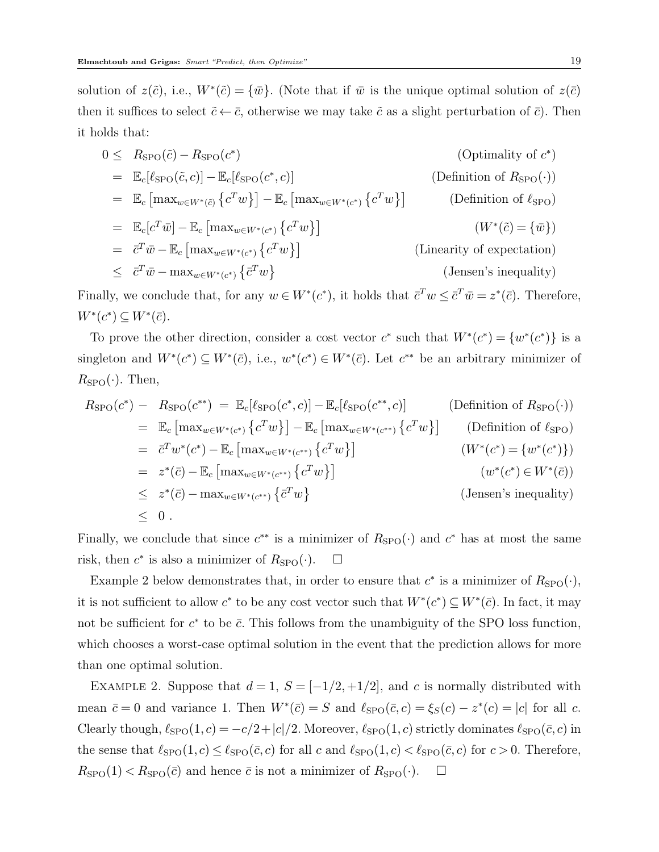solution of  $z(\tilde{c})$ , i.e.,  $W^*(\tilde{c}) = {\overline{w}}$ . (Note that if  $\overline{w}$  is the unique optimal solution of  $z(\overline{c})$ then it suffices to select  $\tilde{c} \leftarrow \bar{c}$ , otherwise we may take  $\tilde{c}$  as a slight perturbation of  $\bar{c}$ ). Then it holds that:

$$
0 \leq R_{\rm SPO}(\tilde{c}) - R_{\rm SPO}(c^*) \qquad \qquad \text{(Optimality of } c^*)
$$
\n
$$
= \mathbb{E}_c[\ell_{\rm SPO}(\tilde{c}, c)] - \mathbb{E}_c[\ell_{\rm SPO}(c^*, c)] \qquad \qquad \text{(Definition of } R_{\rm SPO}(\cdot))
$$
\n
$$
= \mathbb{E}_c\left[\max_{w \in W^*(\tilde{c})} \{c^T w\}\right] - \mathbb{E}_c\left[\max_{w \in W^*(c^*)} \{c^T w\}\right] \qquad \qquad \text{(Definition of } \ell_{\rm SPO})
$$
\n
$$
= \mathbb{E}_c[c^T \bar{w}] - \mathbb{E}_c\left[\max_{w \in W^*(c^*)} \{c^T w\}\right] \qquad \qquad \text{(Linearity of expectation)}
$$
\n
$$
\leq \bar{c}^T \bar{w} - \max_{w \in W^*(c^*)} \{\bar{c}^T w\} \qquad \qquad \text{(Jensen's inequality)}
$$

Finally, we conclude that, for any  $w \in W^*(c^*)$ , it holds that  $\bar{c}^T w \leq \bar{c}^T \bar{w} = z^*(\bar{c})$ . Therefore,  $W^*(c^*) \subseteq W^*(\bar{c}).$ 

To prove the other direction, consider a cost vector  $c^*$  such that  $W^*(c^*) = \{w^*(c^*)\}$  is a singleton and  $W^*(c^*) \subseteq W^*(\bar{c})$ , i.e.,  $w^*(c^*) \in W^*(\bar{c})$ . Let  $c^{**}$  be an arbitrary minimizer of  $R_{\text{SPO}}(\cdot)$ . Then,

$$
R_{\rm SPO}(c^*) - R_{\rm SPO}(c^{**}) = \mathbb{E}_c[\ell_{\rm SPO}(c^*,c)] - \mathbb{E}_c[\ell_{\rm SPO}(c^{**},c)] \qquad \text{(Definition of } R_{\rm SPO}(\cdot))
$$
\n
$$
= \mathbb{E}_c \left[ \max_{w \in W^*(c^*)} \{ c^T w \} \right] - \mathbb{E}_c \left[ \max_{w \in W^*(c^{**})} \{ c^T w \} \right] \qquad \text{(Definition of } \ell_{\rm SPO})
$$
\n
$$
= \bar{c}^T w^*(c^*) - \mathbb{E}_c \left[ \max_{w \in W^*(c^{**})} \{ c^T w \} \right] \qquad \qquad (W^*(c^*) = \{ w^*(c^*) \})
$$
\n
$$
= z^*(\bar{c}) - \mathbb{E}_c \left[ \max_{w \in W^*(c^{**})} \{ c^T w \} \right] \qquad \qquad (w^*(c^*) \in W^*(\bar{c}))
$$
\n
$$
\leq z^*(\bar{c}) - \max_{w \in W^*(c^{**})} \{ \bar{c}^T w \} \qquad \qquad \text{(Jensen's inequality)}
$$
\n
$$
\leq 0 \ .
$$

Finally, we conclude that since  $c^{**}$  is a minimizer of  $R_{\text{SPO}}(\cdot)$  and  $c^*$  has at most the same risk, then  $c^*$  is also a minimizer of  $R_{\text{SPO}}(\cdot)$ .  $\Box$ 

Example 2 below demonstrates that, in order to ensure that  $c^*$  is a minimizer of  $R_{\text{SPO}}(\cdot)$ , it is not sufficient to allow  $c^*$  to be any cost vector such that  $W^*(c^*) \subseteq W^*(\bar{c})$ . In fact, it may not be sufficient for  $c^*$  to be  $\bar{c}$ . This follows from the unambiguity of the SPO loss function, which chooses a worst-case optimal solution in the event that the prediction allows for more than one optimal solution.

EXAMPLE 2. Suppose that  $d = 1$ ,  $S = \frac{-1}{2}, +\frac{1}{2}$ , and c is normally distributed with mean  $\bar{c} = 0$  and variance 1. Then  $W^*(\bar{c}) = S$  and  $\ell_{\text{SPO}}(\bar{c}, c) = \xi_S(c) - z^*(c) = |c|$  for all c. Clearly though,  $\ell_{\text{SPO}}(1, c) = -c/2+|c|/2$ . Moreover,  $\ell_{\text{SPO}}(1, c)$  strictly dominates  $\ell_{\text{SPO}}(\bar{c}, c)$  in the sense that  $\ell_{\text{SPO}}(1, c) \leq \ell_{\text{SPO}}(\bar{c}, c)$  for all c and  $\ell_{\text{SPO}}(1, c) < \ell_{\text{SPO}}(\bar{c}, c)$  for  $c > 0$ . Therefore,  $R_{\rm SPO}(1) < R_{\rm SPO}(\bar{c})$  and hence  $\bar{c}$  is not a minimizer of  $R_{\rm SPO}(\cdot)$ .  $\Box$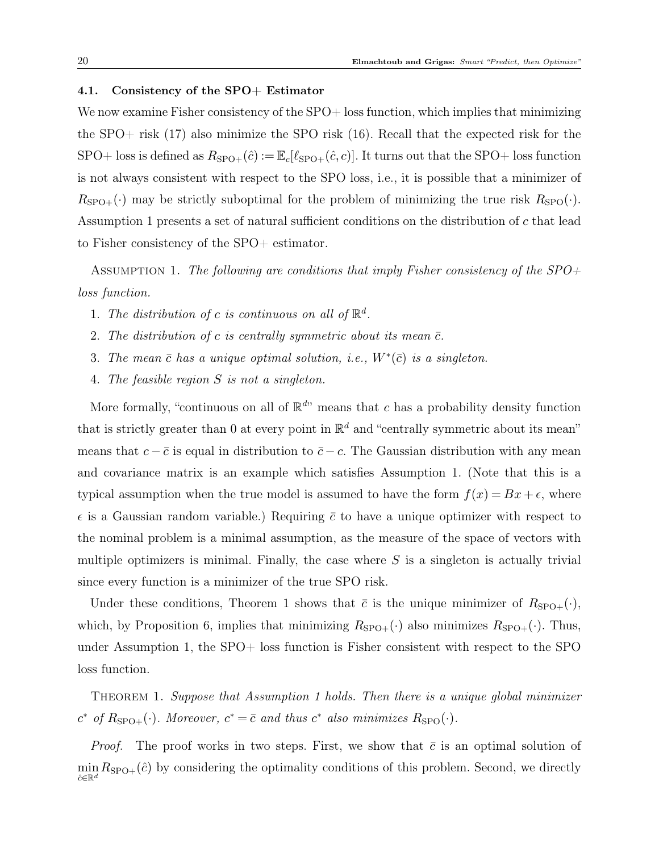#### 4.1. Consistency of the SPO+ Estimator

We now examine Fisher consistency of the SPO+ loss function, which implies that minimizing the SPO+ risk (17) also minimize the SPO risk (16). Recall that the expected risk for the SPO+ loss is defined as  $R_{\text{SPO+}}(\hat{c}) := \mathbb{E}_c[\ell_{\text{SPO+}}(\hat{c}, c)]$ . It turns out that the SPO+ loss function is not always consistent with respect to the SPO loss, i.e., it is possible that a minimizer of  $R_{\text{SPO+}}(\cdot)$  may be strictly suboptimal for the problem of minimizing the true risk  $R_{\text{SPO}}(\cdot)$ . Assumption 1 presents a set of natural sufficient conditions on the distribution of  $c$  that lead to Fisher consistency of the SPO+ estimator.

ASSUMPTION 1. The following are conditions that imply Fisher consistency of the  $SPO+$ loss function.

- 1. The distribution of c is continuous on all of  $\mathbb{R}^d$ .
- 2. The distribution of c is centrally symmetric about its mean  $\bar{c}$ .
- 3. The mean  $\bar{c}$  has a unique optimal solution, i.e.,  $W^*(\bar{c})$  is a singleton.
- 4. The feasible region S is not a singleton.

More formally, "continuous on all of  $\mathbb{R}^{d}$ " means that c has a probability density function that is strictly greater than 0 at every point in  $\mathbb{R}^d$  and "centrally symmetric about its mean" means that  $c - \bar{c}$  is equal in distribution to  $\bar{c} - c$ . The Gaussian distribution with any mean and covariance matrix is an example which satisfies Assumption 1. (Note that this is a typical assumption when the true model is assumed to have the form  $f(x) = Bx + \epsilon$ , where  $\epsilon$  is a Gaussian random variable.) Requiring  $\bar{c}$  to have a unique optimizer with respect to the nominal problem is a minimal assumption, as the measure of the space of vectors with multiple optimizers is minimal. Finally, the case where  $S$  is a singleton is actually trivial since every function is a minimizer of the true SPO risk.

Under these conditions, Theorem 1 shows that  $\bar{c}$  is the unique minimizer of  $R_{\text{SPO+}}(\cdot)$ , which, by Proposition 6, implies that minimizing  $R_{\text{SPO+}}(\cdot)$  also minimizes  $R_{\text{SPO+}}(\cdot)$ . Thus, under Assumption 1, the SPO+ loss function is Fisher consistent with respect to the SPO loss function.

Theorem 1. Suppose that Assumption 1 holds. Then there is a unique global minimizer  $c^*$  of  $R_{\text{SPO+}}(\cdot)$ . Moreover,  $c^* = \overline{c}$  and thus  $c^*$  also minimizes  $R_{\text{SPO}}(\cdot)$ .

*Proof.* The proof works in two steps. First, we show that  $\bar{c}$  is an optimal solution of  $\min_{\hat{c}\in\mathbb{R}^d} R_{\text{SPO+}}(\hat{c})$  by considering the optimality conditions of this problem. Second, we directly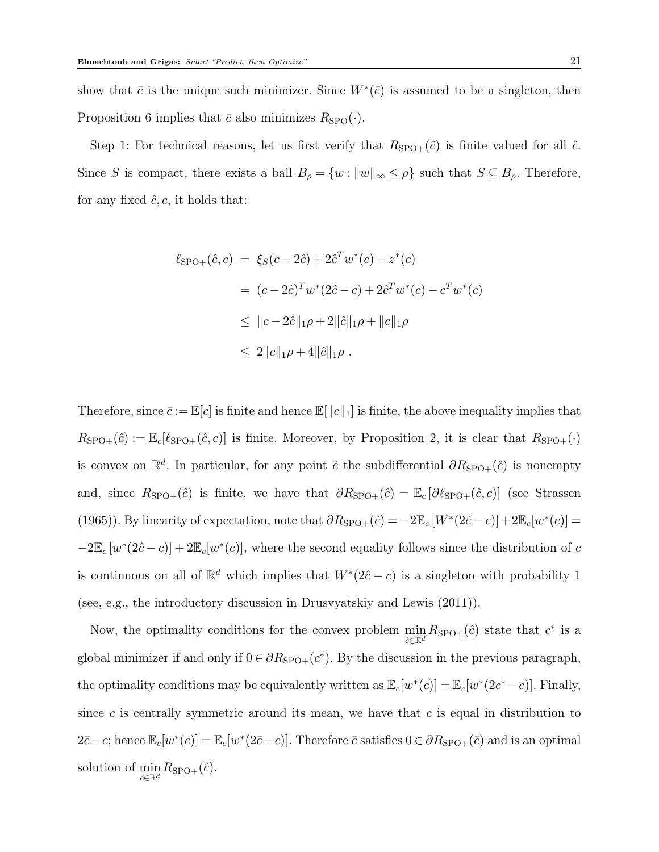show that  $\bar{c}$  is the unique such minimizer. Since  $W^*(\bar{c})$  is assumed to be a singleton, then Proposition 6 implies that  $\bar{c}$  also minimizes  $R_{\text{SPO}}(\cdot)$ .

Step 1: For technical reasons, let us first verify that  $R_{\text{SPO+}}(\hat{c})$  is finite valued for all  $\hat{c}$ . Since S is compact, there exists a ball  $B_{\rho} = \{w : ||w||_{\infty} \leq \rho\}$  such that  $S \subseteq B_{\rho}$ . Therefore, for any fixed  $\hat{c}$ ,  $c$ , it holds that:

$$
\ell_{\text{SPO+}}(\hat{c}, c) = \xi_S(c - 2\hat{c}) + 2\hat{c}^T w^*(c) - z^*(c)
$$
  
=  $(c - 2\hat{c})^T w^*(2\hat{c} - c) + 2\hat{c}^T w^*(c) - c^T w^*(c)$   
 $\leq ||c - 2\hat{c}||_1 \rho + 2||\hat{c}||_1 \rho + ||c||_1 \rho$   
 $\leq 2||c||_1 \rho + 4||\hat{c}||_1 \rho.$ 

Therefore, since  $\bar{c}:=\mathbb{E}[c]$  is finite and hence  $\mathbb{E}[\Vert c \Vert_1]$  is finite, the above inequality implies that  $R_{\text{SPO+}}(\hat{c}) := \mathbb{E}_c[\ell_{\text{SPO+}}(\hat{c}, c)]$  is finite. Moreover, by Proposition 2, it is clear that  $R_{\text{SPO+}}(\cdot)$ is convex on  $\mathbb{R}^d$ . In particular, for any point  $\hat{c}$  the subdifferential  $\partial R_{\rm SPO+}(\hat{c})$  is nonempty and, since  $R_{\text{SPO+}}(\hat{c})$  is finite, we have that  $\partial R_{\text{SPO+}}(\hat{c}) = \mathbb{E}_c [\partial \ell_{\text{SPO+}}(\hat{c}, c)]$  (see Strassen (1965)). By linearity of expectation, note that  $\partial R_{\text{SPO+}}(\hat{c}) = -2\mathbb{E}_c[W^*(2\hat{c}-c)] + 2\mathbb{E}_c[w^*(c)] =$  $-2\mathbb{E}_c[w^*(2\hat{c}-c)]+2\mathbb{E}_c[w^*(c)]$ , where the second equality follows since the distribution of c is continuous on all of  $\mathbb{R}^d$  which implies that  $W^*(2\hat{c}-c)$  is a singleton with probability 1 (see, e.g., the introductory discussion in Drusvyatskiy and Lewis (2011)).

Now, the optimality conditions for the convex problem  $\min_{\hat{c}\in\mathbb{R}^d} R_{\text{SPO+}}(\hat{c})$  state that  $c^*$  is a global minimizer if and only if  $0 \in \partial R_{\text{SPO+}}(c^*)$ . By the discussion in the previous paragraph, the optimality conditions may be equivalently written as  $\mathbb{E}_c[w^*(c)] = \mathbb{E}_c[w^*(2c^*-c)]$ . Finally, since c is centrally symmetric around its mean, we have that  $c$  is equal in distribution to  $2\bar{c}-c$ ; hence  $\mathbb{E}_c[w^*(c)] = \mathbb{E}_c[w^*(2\bar{c}-c)]$ . Therefore  $\bar{c}$  satisfies  $0 \in \partial R_{\text{SPO+}}(\bar{c})$  and is an optimal solution of  $\min_{\hat{c} \in \mathbb{R}^d} R_{\text{SPO+}}(\hat{c})$ .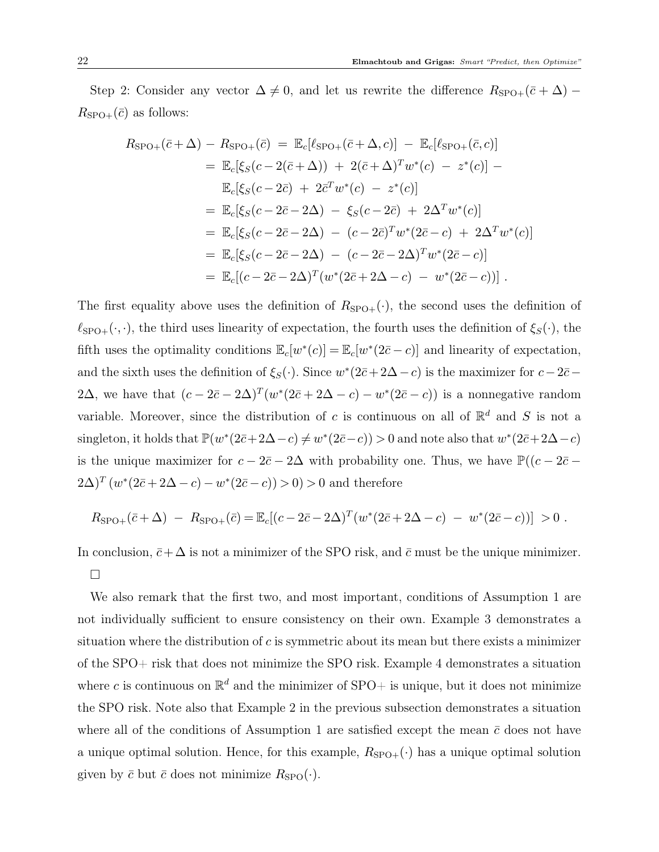Step 2: Consider any vector  $\Delta \neq 0$ , and let us rewrite the difference  $R_{\text{SPO+}}(\bar{c} + \Delta)$  –  $R_{\text{SPO+}}(\bar{c})$  as follows:

$$
R_{\rm SPO+}(\bar{c} + \Delta) - R_{\rm SPO+}(\bar{c}) = \mathbb{E}_c[\ell_{\rm SPO+}(\bar{c} + \Delta, c)] - \mathbb{E}_c[\ell_{\rm SPO+}(\bar{c}, c)]
$$
  
\n
$$
= \mathbb{E}_c[\xi_S(c - 2(\bar{c} + \Delta)) + 2(\bar{c} + \Delta)^T w^*(c) - z^*(c)] -
$$
  
\n
$$
\mathbb{E}_c[\xi_S(c - 2\bar{c}) + 2\bar{c}^T w^*(c) - z^*(c)]
$$
  
\n
$$
= \mathbb{E}_c[\xi_S(c - 2\bar{c} - 2\Delta) - \xi_S(c - 2\bar{c}) + 2\Delta^T w^*(c)]
$$
  
\n
$$
= \mathbb{E}_c[\xi_S(c - 2\bar{c} - 2\Delta) - (c - 2\bar{c})^T w^*(2\bar{c} - c) + 2\Delta^T w^*(c)]
$$
  
\n
$$
= \mathbb{E}_c[\xi_S(c - 2\bar{c} - 2\Delta) - (c - 2\bar{c} - 2\Delta)^T w^*(2\bar{c} - c)]
$$
  
\n
$$
= \mathbb{E}_c[(c - 2\bar{c} - 2\Delta)^T (w^*(2\bar{c} + 2\Delta - c) - w^*(2\bar{c} - c))].
$$

The first equality above uses the definition of  $R_{\text{SPO+}}(\cdot)$ , the second uses the definition of  $\ell_{\text{SPO+}}(\cdot, \cdot)$ , the third uses linearity of expectation, the fourth uses the definition of  $\xi_S(\cdot)$ , the fifth uses the optimality conditions  $\mathbb{E}_c[w^*(c)] = \mathbb{E}_c[w^*(2\bar{c}-c)]$  and linearity of expectation, and the sixth uses the definition of  $\xi_s(\cdot)$ . Since  $w^*(2\bar{c}+2\Delta-c)$  is the maximizer for  $c-2\bar{c}-c$ 2 $\Delta$ , we have that  $(c - 2\bar{c} - 2\Delta)^T(w^*(2\bar{c} + 2\Delta - c) - w^*(2\bar{c} - c))$  is a nonnegative random variable. Moreover, since the distribution of c is continuous on all of  $\mathbb{R}^d$  and S is not a singleton, it holds that  $\mathbb{P}(w^*(2\bar{c}+2\Delta-c)\neq w^*(2\bar{c}-c))>0$  and note also that  $w^*(2\bar{c}+2\Delta-c)$ is the unique maximizer for  $c - 2\bar{c} - 2\Delta$  with probability one. Thus, we have  $\mathbb{P}((c - 2\bar{c} (2\Delta)^T (w^*(2\bar{c}+2\Delta-c)-w^*(2\bar{c}-c))>0) > 0$  and therefore

$$
R_{\rm SPO+}(\bar{c} + \Delta) - R_{\rm SPO+}(\bar{c}) = \mathbb{E}_c[(c - 2\bar{c} - 2\Delta)^T(w^*(2\bar{c} + 2\Delta - c) - w^*(2\bar{c} - c))] > 0.
$$

In conclusion,  $\bar{c}+\Delta$  is not a minimizer of the SPO risk, and  $\bar{c}$  must be the unique minimizer.  $\Box$ 

We also remark that the first two, and most important, conditions of Assumption 1 are not individually sufficient to ensure consistency on their own. Example 3 demonstrates a situation where the distribution of  $c$  is symmetric about its mean but there exists a minimizer of the SPO+ risk that does not minimize the SPO risk. Example 4 demonstrates a situation where c is continuous on  $\mathbb{R}^d$  and the minimizer of SPO+ is unique, but it does not minimize the SPO risk. Note also that Example 2 in the previous subsection demonstrates a situation where all of the conditions of Assumption 1 are satisfied except the mean  $\bar{c}$  does not have a unique optimal solution. Hence, for this example,  $R_{\text{SPO+}}(\cdot)$  has a unique optimal solution given by  $\bar{c}$  but  $\bar{c}$  does not minimize  $R_{\text{SPO}}(\cdot)$ .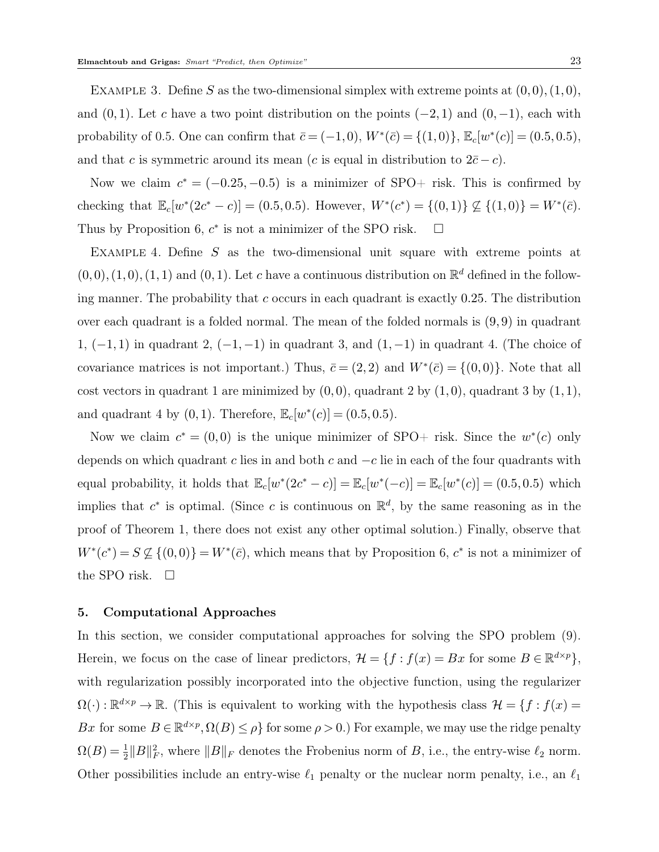EXAMPLE 3. Define S as the two-dimensional simplex with extreme points at  $(0,0), (1,0),$ and  $(0, 1)$ . Let c have a two point distribution on the points  $(-2, 1)$  and  $(0, -1)$ , each with probability of 0.5. One can confirm that  $\bar{c} = (-1,0), W^*(\bar{c}) = \{(1,0)\}, \mathbb{E}_c[w^*(c)] = (0.5,0.5),$ and that c is symmetric around its mean (c is equal in distribution to  $2\bar{c} - c$ ).

Now we claim  $c^* = (-0.25, -0.5)$  is a minimizer of SPO+ risk. This is confirmed by checking that  $\mathbb{E}_c[w^*(2c^*-c)] = (0.5, 0.5)$ . However,  $W^*(c^*) = \{(0,1)\} \nsubseteq \{(1,0)\} = W^*(\bar{c})$ . Thus by Proposition 6,  $c^*$  is not a minimizer of the SPO risk.  $\square$ 

EXAMPLE 4. Define  $S$  as the two-dimensional unit square with extreme points at  $(0,0), (1,0), (1,1)$  and  $(0,1)$ . Let c have a continuous distribution on  $\mathbb{R}^d$  defined in the following manner. The probability that c occurs in each quadrant is exactly 0.25. The distribution over each quadrant is a folded normal. The mean of the folded normals is (9, 9) in quadrant 1,  $(-1,1)$  in quadrant 2,  $(-1,-1)$  in quadrant 3, and  $(1,-1)$  in quadrant 4. (The choice of covariance matrices is not important.) Thus,  $\bar{c} = (2, 2)$  and  $W^*(\bar{c}) = \{(0, 0)\}\.$  Note that all cost vectors in quadrant 1 are minimized by  $(0,0)$ , quadrant 2 by  $(1,0)$ , quadrant 3 by  $(1,1)$ , and quadrant 4 by  $(0, 1)$ . Therefore,  $\mathbb{E}_{c}[w^{*}(c)] = (0.5, 0.5)$ .

Now we claim  $c^* = (0,0)$  is the unique minimizer of SPO+ risk. Since the  $w^*(c)$  only depends on which quadrant c lies in and both c and  $-c$  lie in each of the four quadrants with equal probability, it holds that  $\mathbb{E}_c[w^*(2c^*-c)] = \mathbb{E}_c[w^*(-c)] = \mathbb{E}_c[w^*(c)] = (0.5, 0.5)$  which implies that  $c^*$  is optimal. (Since c is continuous on  $\mathbb{R}^d$ , by the same reasoning as in the proof of Theorem 1, there does not exist any other optimal solution.) Finally, observe that  $W^*(c^*) = S \nsubseteq \{(0,0)\} = W^*(\overline{c})$ , which means that by Proposition 6,  $c^*$  is not a minimizer of the SPO risk.  $\Box$ 

### 5. Computational Approaches

In this section, we consider computational approaches for solving the SPO problem (9). Herein, we focus on the case of linear predictors,  $\mathcal{H} = \{f : f(x) = Bx \text{ for some } B \in \mathbb{R}^{d \times p}\},\$ with regularization possibly incorporated into the objective function, using the regularizer  $\Omega(\cdot): \mathbb{R}^{d \times p} \to \mathbb{R}$ . (This is equivalent to working with the hypothesis class  $\mathcal{H} = \{f : f(x) = 0\}$ Bx for some  $B \in \mathbb{R}^{d \times p}$ ,  $\Omega(B) \le \rho$  for some  $\rho > 0$ .) For example, we may use the ridge penalty  $\Omega(B) = \frac{1}{2} ||B||_F^2$ , where  $||B||_F$  denotes the Frobenius norm of B, i.e., the entry-wise  $\ell_2$  norm. Other possibilities include an entry-wise  $\ell_1$  penalty or the nuclear norm penalty, i.e., an  $\ell_1$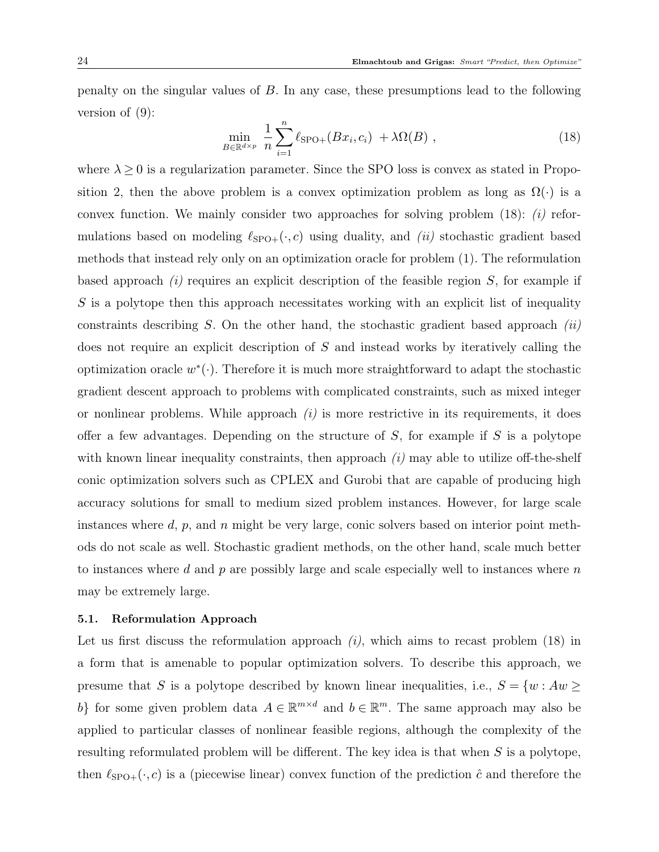penalty on the singular values of  $B$ . In any case, these presumptions lead to the following version of (9):

$$
\min_{B \in \mathbb{R}^{d \times p}} \frac{1}{n} \sum_{i=1}^{n} \ell_{\text{SPO+}}(Bx_i, c_i) + \lambda \Omega(B) , \qquad (18)
$$

where  $\lambda \geq 0$  is a regularization parameter. Since the SPO loss is convex as stated in Proposition 2, then the above problem is a convex optimization problem as long as  $\Omega(\cdot)$  is a convex function. We mainly consider two approaches for solving problem  $(18)$ :  $(i)$  reformulations based on modeling  $\ell_{\text{SPO+}}(\cdot, c)$  using duality, and *(ii)* stochastic gradient based methods that instead rely only on an optimization oracle for problem (1). The reformulation based approach  $(i)$  requires an explicit description of the feasible region S, for example if S is a polytope then this approach necessitates working with an explicit list of inequality constraints describing S. On the other hand, the stochastic gradient based approach  $(ii)$ does not require an explicit description of S and instead works by iteratively calling the optimization oracle  $w^*(\cdot)$ . Therefore it is much more straightforward to adapt the stochastic gradient descent approach to problems with complicated constraints, such as mixed integer or nonlinear problems. While approach  $(i)$  is more restrictive in its requirements, it does offer a few advantages. Depending on the structure of  $S$ , for example if  $S$  is a polytope with known linear inequality constraints, then approach  $(i)$  may able to utilize off-the-shelf conic optimization solvers such as CPLEX and Gurobi that are capable of producing high accuracy solutions for small to medium sized problem instances. However, for large scale instances where  $d$ ,  $p$ , and  $n$  might be very large, conic solvers based on interior point methods do not scale as well. Stochastic gradient methods, on the other hand, scale much better to instances where d and p are possibly large and scale especially well to instances where  $n$ may be extremely large.

#### 5.1. Reformulation Approach

Let us first discuss the reformulation approach  $(i)$ , which aims to recast problem (18) in a form that is amenable to popular optimization solvers. To describe this approach, we presume that S is a polytope described by known linear inequalities, i.e.,  $S = \{w : Aw \geq$ b} for some given problem data  $A \in \mathbb{R}^{m \times d}$  and  $b \in \mathbb{R}^m$ . The same approach may also be applied to particular classes of nonlinear feasible regions, although the complexity of the resulting reformulated problem will be different. The key idea is that when S is a polytope, then  $\ell_{\text{SPO+}}(\cdot, c)$  is a (piecewise linear) convex function of the prediction  $\hat{c}$  and therefore the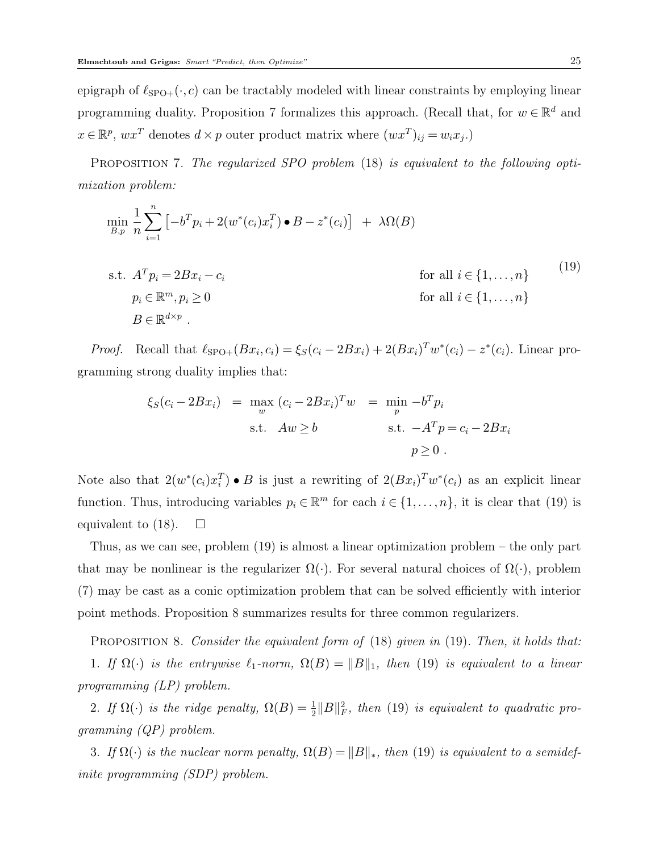epigraph of  $\ell_{\text{SPO+}}(\cdot, c)$  can be tractably modeled with linear constraints by employing linear programming duality. Proposition 7 formalizes this approach. (Recall that, for  $w \in \mathbb{R}^d$  and  $x \in \mathbb{R}^p$ ,  $wx^T$  denotes  $d \times p$  outer product matrix where  $(wx^T)_{ij} = w_i x_j$ .

PROPOSITION 7. The regularized SPO problem (18) is equivalent to the following optimization problem:

$$
\min_{B,p} \frac{1}{n} \sum_{i=1}^{n} \left[ -b^T p_i + 2(w^*(c_i)x_i^T) \bullet B - z^*(c_i) \right] + \lambda \Omega(B)
$$
\n
$$
\text{s.t. } A^T p_i = 2Bx_i - c_i \qquad \text{for all } i \in \{1, ..., n\}
$$
\n
$$
p_i \in \mathbb{R}^m, p_i \ge 0 \qquad \text{for all } i \in \{1, ..., n\}
$$
\n
$$
B \in \mathbb{R}^{d \times p}.
$$
\n
$$
(19)
$$

*Proof.* Recall that  $\ell_{\text{SPO+}}(Bx_i, c_i) = \xi_S(c_i - 2Bx_i) + 2(Bx_i)^T w^*(c_i) - z^*(c_i)$ . Linear programming strong duality implies that:

$$
\xi_S(c_i - 2Bx_i) = \max_{w} (c_i - 2Bx_i)^T w = \min_{p} -b^T p_i
$$
  
s.t.  $Aw \ge b$  s.t.  $-A^T p = c_i - 2Bx_i$   
 $p \ge 0$ .

Note also that  $2(w^*(c_i)x_i^T) \bullet B$  is just a rewriting of  $2(Bx_i)^T w^*(c_i)$  as an explicit linear function. Thus, introducing variables  $p_i \in \mathbb{R}^m$  for each  $i \in \{1, ..., n\}$ , it is clear that (19) is equivalent to  $(18)$ .  $\Box$ 

Thus, as we can see, problem (19) is almost a linear optimization problem – the only part that may be nonlinear is the regularizer  $\Omega(\cdot)$ . For several natural choices of  $\Omega(\cdot)$ , problem (7) may be cast as a conic optimization problem that can be solved efficiently with interior point methods. Proposition 8 summarizes results for three common regularizers.

PROPOSITION 8. Consider the equivalent form of  $(18)$  given in  $(19)$ . Then, it holds that: 1. If  $\Omega(\cdot)$  is the entrywise  $\ell_1$ -norm,  $\Omega(B) = ||B||_1$ , then (19) is equivalent to a linear programming (LP) problem.

2. If  $\Omega(\cdot)$  is the ridge penalty,  $\Omega(B) = \frac{1}{2} ||B||_F^2$ , then (19) is equivalent to quadratic programming (QP) problem.

3. If  $\Omega(\cdot)$  is the nuclear norm penalty,  $\Omega(B) = ||B||_*$ , then (19) is equivalent to a semidefinite programming (SDP) problem.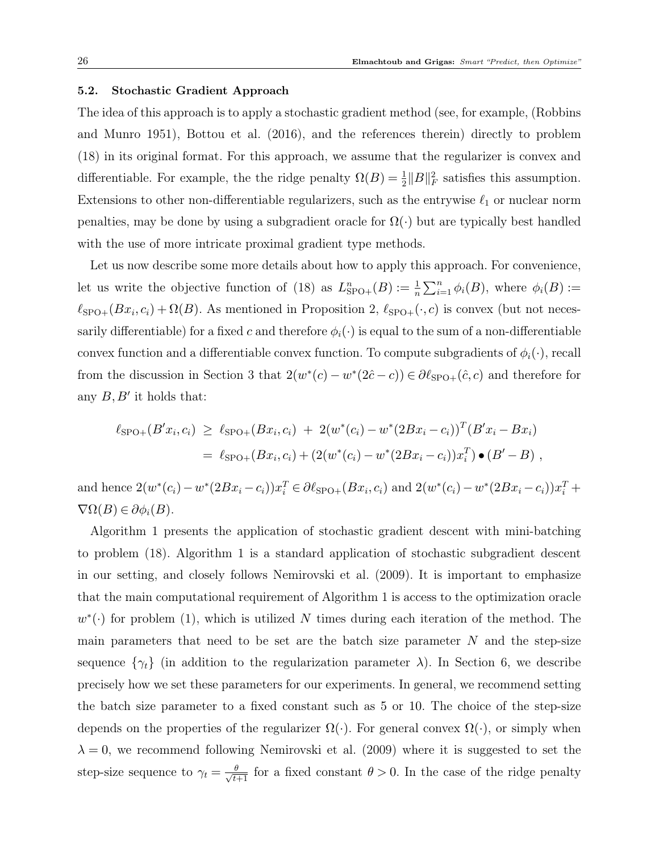#### 5.2. Stochastic Gradient Approach

The idea of this approach is to apply a stochastic gradient method (see, for example, (Robbins and Munro 1951), Bottou et al. (2016), and the references therein) directly to problem (18) in its original format. For this approach, we assume that the regularizer is convex and differentiable. For example, the the ridge penalty  $\Omega(B) = \frac{1}{2} ||B||_F^2$  satisfies this assumption. Extensions to other non-differentiable regularizers, such as the entrywise  $\ell_1$  or nuclear norm penalties, may be done by using a subgradient oracle for  $\Omega(\cdot)$  but are typically best handled with the use of more intricate proximal gradient type methods.

Let us now describe some more details about how to apply this approach. For convenience, let us write the objective function of (18) as  $L_{\text{SPO+}}^n(B) := \frac{1}{n} \sum_{i=1}^n \phi_i(B)$ , where  $\phi_i(B) :=$  $\ell_{\text{SPO+}}(Bx_i, c_i) + \Omega(B)$ . As mentioned in Proposition 2,  $\ell_{\text{SPO+}}(\cdot, c)$  is convex (but not necessarily differentiable) for a fixed c and therefore  $\phi_i(\cdot)$  is equal to the sum of a non-differentiable convex function and a differentiable convex function. To compute subgradients of  $\phi_i(\cdot)$ , recall from the discussion in Section 3 that  $2(w^*(c) - w^*(2\hat{c} - c)) \in \partial \ell_{\text{SPO+}}(\hat{c}, c)$  and therefore for any  $B, B'$  it holds that:

$$
\ell_{\text{SPO+}}(B'x_i, c_i) \geq \ell_{\text{SPO+}}(Bx_i, c_i) + 2(w^*(c_i) - w^*(2Bx_i - c_i))^T (B'x_i - Bx_i)
$$
  
= 
$$
\ell_{\text{SPO+}}(Bx_i, c_i) + (2(w^*(c_i) - w^*(2Bx_i - c_i))x_i^T) \bullet (B' - B),
$$

and hence  $2(w^*(c_i) - w^*(2Bx_i - c_i))x_i^T \in \partial \ell_{\text{SPO+}}(Bx_i, c_i)$  and  $2(w^*(c_i) - w^*(2Bx_i - c_i))x_i^T +$  $\nabla\Omega(B) \in \partial \phi_i(B).$ 

Algorithm 1 presents the application of stochastic gradient descent with mini-batching to problem (18). Algorithm 1 is a standard application of stochastic subgradient descent in our setting, and closely follows Nemirovski et al. (2009). It is important to emphasize that the main computational requirement of Algorithm 1 is access to the optimization oracle  $w^*(.)$  for problem (1), which is utilized N times during each iteration of the method. The main parameters that need to be set are the batch size parameter  $N$  and the step-size sequence  $\{\gamma_t\}$  (in addition to the regularization parameter  $\lambda$ ). In Section 6, we describe precisely how we set these parameters for our experiments. In general, we recommend setting the batch size parameter to a fixed constant such as 5 or 10. The choice of the step-size depends on the properties of the regularizer  $\Omega(\cdot)$ . For general convex  $\Omega(\cdot)$ , or simply when  $\lambda = 0$ , we recommend following Nemirovski et al. (2009) where it is suggested to set the step-size sequence to  $\gamma_t = \frac{\theta}{\sqrt{t+1}}$  for a fixed constant  $\theta > 0$ . In the case of the ridge penalty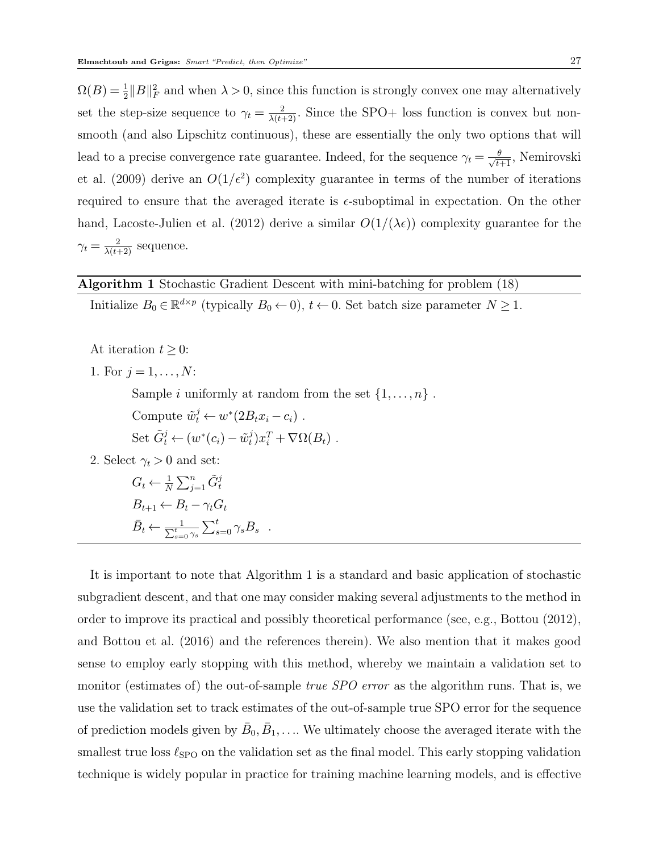$\Omega(B) = \frac{1}{2} ||B||_F^2$  and when  $\lambda > 0$ , since this function is strongly convex one may alternatively set the step-size sequence to  $\gamma_t = \frac{2}{\lambda(t+2)}$ . Since the SPO+ loss function is convex but nonsmooth (and also Lipschitz continuous), these are essentially the only two options that will lead to a precise convergence rate guarantee. Indeed, for the sequence  $\gamma_t = \frac{\theta}{\sqrt{t+1}}$ , Nemirovski et al. (2009) derive an  $O(1/\epsilon^2)$  complexity guarantee in terms of the number of iterations required to ensure that the averaged iterate is  $\epsilon$ -suboptimal in expectation. On the other hand, Lacoste-Julien et al. (2012) derive a similar  $O(1/(\lambda\epsilon))$  complexity guarantee for the  $\gamma_t = \frac{2}{\lambda(t+2)}$  sequence.

Algorithm 1 Stochastic Gradient Descent with mini-batching for problem (18)

Initialize  $B_0 \in \mathbb{R}^{d \times p}$  (typically  $B_0 \leftarrow 0$ ),  $t \leftarrow 0$ . Set batch size parameter  $N \ge 1$ .

- At iteration  $t \geq 0$ :
- 1. For  $j = 1, ..., N$ :

Sample *i* uniformly at random from the set  $\{1, \ldots, n\}$ .

Compute  $\tilde{w}_t^j \leftarrow w^*(2B_tx_i - c_i)$ .

Set 
$$
\tilde{G}_t^j \leftarrow (w^*(c_i) - \tilde{w}_t^j)x_i^T + \nabla \Omega(B_t)
$$
.

2. Select  $\gamma_t > 0$  and set:

$$
G_t \leftarrow \frac{1}{N} \sum_{j=1}^n \tilde{G}_t^j
$$
  

$$
B_{t+1} \leftarrow B_t - \gamma_t G_t
$$
  

$$
\bar{B}_t \leftarrow \frac{1}{\sum_{s=0}^t \gamma_s} \sum_{s=0}^t \gamma_s B_s
$$
.

It is important to note that Algorithm 1 is a standard and basic application of stochastic subgradient descent, and that one may consider making several adjustments to the method in order to improve its practical and possibly theoretical performance (see, e.g., Bottou (2012), and Bottou et al. (2016) and the references therein). We also mention that it makes good sense to employ early stopping with this method, whereby we maintain a validation set to monitor (estimates of) the out-of-sample *true SPO error* as the algorithm runs. That is, we use the validation set to track estimates of the out-of-sample true SPO error for the sequence of prediction models given by  $\bar{B}_0, \bar{B}_1, \ldots$  We ultimately choose the averaged iterate with the smallest true loss  $\ell_{\text{SPO}}$  on the validation set as the final model. This early stopping validation technique is widely popular in practice for training machine learning models, and is effective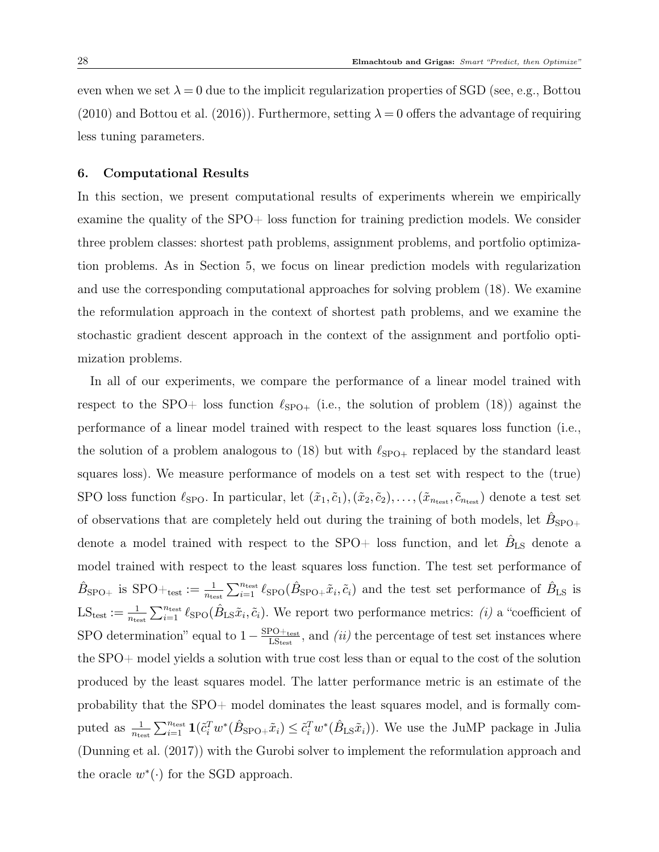even when we set  $\lambda = 0$  due to the implicit regularization properties of SGD (see, e.g., Bottou  $(2010)$  and Bottou et al.  $(2016)$ ). Furthermore, setting  $\lambda = 0$  offers the advantage of requiring less tuning parameters.

## 6. Computational Results

In this section, we present computational results of experiments wherein we empirically examine the quality of the SPO+ loss function for training prediction models. We consider three problem classes: shortest path problems, assignment problems, and portfolio optimization problems. As in Section 5, we focus on linear prediction models with regularization and use the corresponding computational approaches for solving problem (18). We examine the reformulation approach in the context of shortest path problems, and we examine the stochastic gradient descent approach in the context of the assignment and portfolio optimization problems.

In all of our experiments, we compare the performance of a linear model trained with respect to the SPO+ loss function  $\ell_{\text{SPO+}}$  (i.e., the solution of problem (18)) against the performance of a linear model trained with respect to the least squares loss function (i.e., the solution of a problem analogous to (18) but with  $\ell_{\text{SPO+}}$  replaced by the standard least squares loss). We measure performance of models on a test set with respect to the (true) SPO loss function  $\ell_{\text{SPO}}$ . In particular, let  $(\tilde{x}_1, \tilde{c}_1),(\tilde{x}_2, \tilde{c}_2), \ldots,(\tilde{x}_{n_{\text{test}}}, \tilde{c}_{n_{\text{test}}})$  denote a test set of observations that are completely held out during the training of both models, let  $\hat{B}_{\text{SPO+}}$ denote a model trained with respect to the SPO+ loss function, and let  $\hat{B}_{LS}$  denote a model trained with respect to the least squares loss function. The test set performance of  $\hat{B}_{\text{SPO+}}$  is  $\text{SPO+}_{\text{test}} := \frac{1}{n_{\text{test}}} \sum_{i=1}^{n_{\text{test}}} \ell_{\text{SPO}}(\hat{B}_{\text{SPO+}}\tilde{x}_i, \tilde{c}_i)$  and the test set performance of  $\hat{B}_{\text{LS}}$  is  $\text{LS}_{\text{test}} := \frac{1}{n_{\text{test}}} \sum_{i=1}^{n_{\text{test}}} \ell_{\text{SPO}}(\hat{B}_{\text{LS}}\tilde{x}_i, \tilde{c}_i)$ . We report two performance metrics: (*i*) a "coefficient of SPO determination" equal to  $1-\frac{\text{SPO}+\text{test}}{\text{IS}_{\text{test}}}$  $\frac{P\text{O}_{\text{test}}}{\text{LS}_{\text{test}}}$ , and *(ii)* the percentage of test set instances where the SPO+ model yields a solution with true cost less than or equal to the cost of the solution produced by the least squares model. The latter performance metric is an estimate of the probability that the SPO+ model dominates the least squares model, and is formally computed as  $\frac{1}{n_{\text{test}}} \sum_{i=1}^{n_{\text{test}}} \mathbf{1}(\tilde{c}_i^T w^*(\hat{B}_{\text{SPO}+\tilde{x}_i}) \leq \tilde{c}_i^T w^*(\hat{B}_{\text{LS}}\tilde{x}_i)).$  We use the JuMP package in Julia (Dunning et al. (2017)) with the Gurobi solver to implement the reformulation approach and the oracle  $w^*(\cdot)$  for the SGD approach.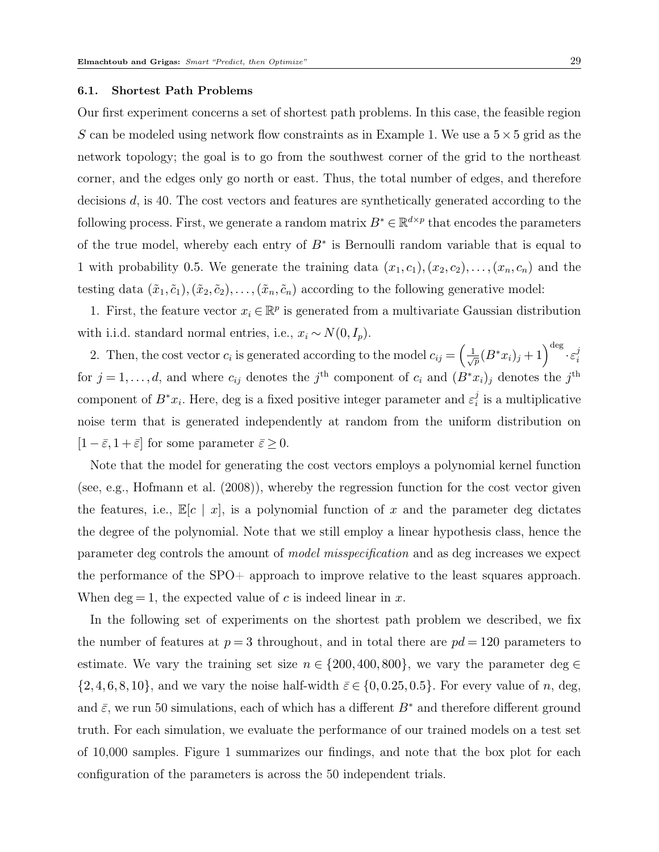#### 6.1. Shortest Path Problems

Our first experiment concerns a set of shortest path problems. In this case, the feasible region S can be modeled using network flow constraints as in Example 1. We use a  $5 \times 5$  grid as the network topology; the goal is to go from the southwest corner of the grid to the northeast corner, and the edges only go north or east. Thus, the total number of edges, and therefore decisions d, is 40. The cost vectors and features are synthetically generated according to the following process. First, we generate a random matrix  $B^* \in \mathbb{R}^{d \times p}$  that encodes the parameters of the true model, whereby each entry of  $B^*$  is Bernoulli random variable that is equal to 1 with probability 0.5. We generate the training data  $(x_1, c_1), (x_2, c_2), \ldots, (x_n, c_n)$  and the testing data  $(\tilde{x}_1, \tilde{c}_1), (\tilde{x}_2, \tilde{c}_2), \ldots, (\tilde{x}_n, \tilde{c}_n)$  according to the following generative model:

1. First, the feature vector  $x_i \in \mathbb{R}^p$  is generated from a multivariate Gaussian distribution with i.i.d. standard normal entries, i.e.,  $x_i \sim N(0, I_p)$ .

2. Then, the cost vector  $c_i$  is generated according to the model  $c_{ij} = \left(\frac{1}{\sqrt{p}}(B^*x_i)_j + 1\right)^{\text{deg}} \cdot \varepsilon_i^j$ i for  $j = 1, \ldots, d$ , and where  $c_{ij}$  denotes the j<sup>th</sup> component of  $c_i$  and  $(B^*x_i)_j$  denotes the j<sup>th</sup> component of  $B^*x_i$ . Here, deg is a fixed positive integer parameter and  $\varepsilon_i^j$  $i$  is a multiplicative noise term that is generated independently at random from the uniform distribution on  $[1-\bar{\varepsilon},1+\bar{\varepsilon}]$  for some parameter  $\bar{\varepsilon}\geq 0$ .

Note that the model for generating the cost vectors employs a polynomial kernel function (see, e.g., Hofmann et al. (2008)), whereby the regression function for the cost vector given the features, i.e.,  $\mathbb{E}[c \mid x]$ , is a polynomial function of x and the parameter deg dictates the degree of the polynomial. Note that we still employ a linear hypothesis class, hence the parameter deg controls the amount of model misspecification and as deg increases we expect the performance of the SPO+ approach to improve relative to the least squares approach. When deg = 1, the expected value of c is indeed linear in x.

In the following set of experiments on the shortest path problem we described, we fix the number of features at  $p = 3$  throughout, and in total there are  $pd = 120$  parameters to estimate. We vary the training set size  $n \in \{200, 400, 800\}$ , we vary the parameter deg  $\in$  $\{2, 4, 6, 8, 10\}$ , and we vary the noise half-width  $\bar{\varepsilon} \in \{0, 0.25, 0.5\}$ . For every value of n, deg, and  $\bar{\varepsilon}$ , we run 50 simulations, each of which has a different B<sup>∗</sup> and therefore different ground truth. For each simulation, we evaluate the performance of our trained models on a test set of 10,000 samples. Figure 1 summarizes our findings, and note that the box plot for each configuration of the parameters is across the 50 independent trials.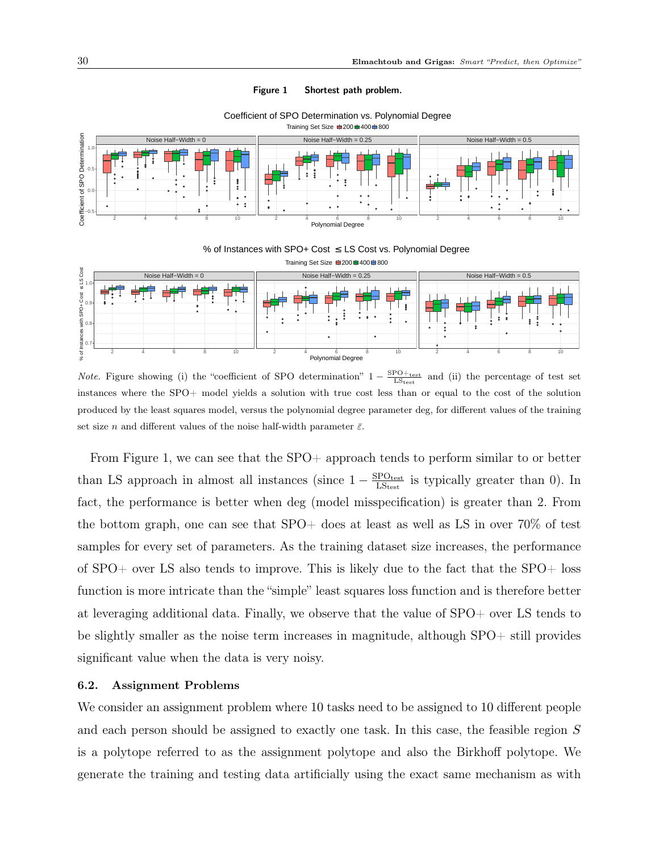#### Figure 1 Shortest path problem.



Coefficient of SPO Determination vs. Polynomial Degree

#### Training Set Size  $\triangleq$  200  $\triangleq$  400  $\triangleq$  800 % of Instances with SPO+ Cost ≤ LS Cost vs. Polynomial Degree



Note. Figure showing (i) the "coefficient of SPO determination"  $1 \frac{\text{SPO+_{test}}}{\text{LS}_{\text{test}}}$  and (ii) the percentage of test set instances where the SPO+ model yields a solution with true cost less than or equal to the cost of the solution produced by the least squares model, versus the polynomial degree parameter deg, for different values of the training set size *n* and different values of the noise half-width parameter  $\bar{\varepsilon}$ .

From Figure 1, we can see that the SPO+ approach tends to perform similar to or better than LS approach in almost all instances (since  $1 - \frac{\text{SPO}_{\text{test}}}{\text{IS}_{\text{test}}}$  $\frac{P_{\text{U}_{\text{test}}}}{L_{\text{S}_{\text{test}}}}$  is typically greater than 0). In fact, the performance is better when deg (model misspecification) is greater than 2. From the bottom graph, one can see that SPO+ does at least as well as LS in over 70% of test samples for every set of parameters. As the training dataset size increases, the performance of SPO+ over LS also tends to improve. This is likely due to the fact that the SPO+ loss function is more intricate than the "simple" least squares loss function and is therefore better at leveraging additional data. Finally, we observe that the value of SPO+ over LS tends to be slightly smaller as the noise term increases in magnitude, although SPO+ still provides significant value when the data is very noisy.

## 6.2. Assignment Problems

We consider an assignment problem where 10 tasks need to be assigned to 10 different people and each person should be assigned to exactly one task. In this case, the feasible region S is a polytope referred to as the assignment polytope and also the Birkhoff polytope. We generate the training and testing data artificially using the exact same mechanism as with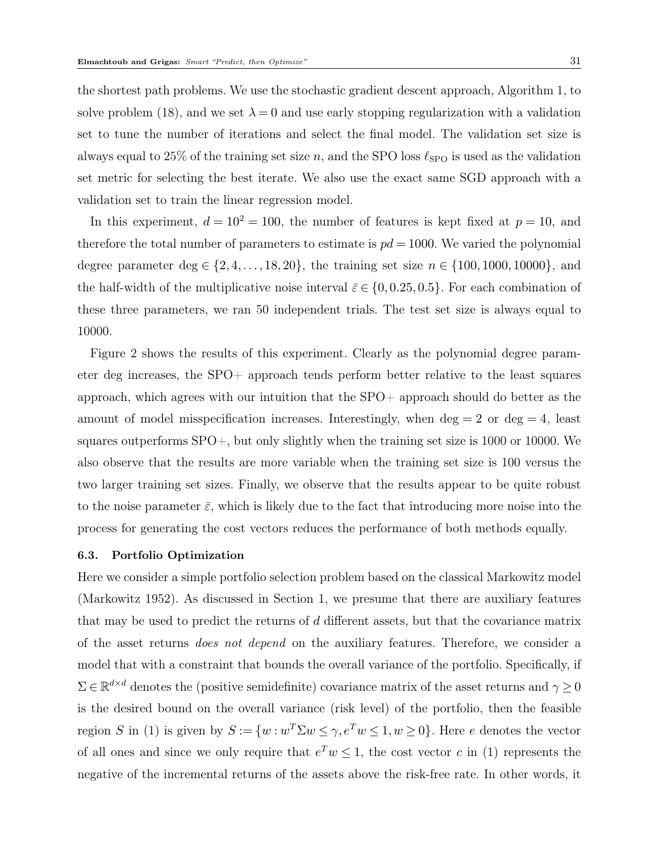the shortest path problems. We use the stochastic gradient descent approach, Algorithm 1, to solve problem (18), and we set  $\lambda = 0$  and use early stopping regularization with a validation set to tune the number of iterations and select the final model. The validation set size is always equal to 25% of the training set size n, and the SPO loss  $\ell_{\text{SPO}}$  is used as the validation set metric for selecting the best iterate. We also use the exact same SGD approach with a validation set to train the linear regression model.

In this experiment,  $d = 10^2 = 100$ , the number of features is kept fixed at  $p = 10$ , and therefore the total number of parameters to estimate is  $pd = 1000$ . We varied the polynomial degree parameter deg  $\in \{2, 4, ..., 18, 20\}$ , the training set size  $n \in \{100, 1000, 10000\}$ , and the half-width of the multiplicative noise interval  $\bar{\varepsilon} \in \{0, 0.25, 0.5\}$ . For each combination of these three parameters, we ran 50 independent trials. The test set size is always equal to 10000.

Figure 2 shows the results of this experiment. Clearly as the polynomial degree parameter deg increases, the SPO+ approach tends perform better relative to the least squares approach, which agrees with our intuition that the SPO+ approach should do better as the amount of model misspecification increases. Interestingly, when  $\deg = 2$  or  $\deg = 4$ , least squares outperforms SPO+, but only slightly when the training set size is 1000 or 10000. We also observe that the results are more variable when the training set size is 100 versus the two larger training set sizes. Finally, we observe that the results appear to be quite robust to the noise parameter  $\bar{\varepsilon}$ , which is likely due to the fact that introducing more noise into the process for generating the cost vectors reduces the performance of both methods equally.

## 6.3. Portfolio Optimization

Here we consider a simple portfolio selection problem based on the classical Markowitz model (Markowitz 1952). As discussed in Section 1, we presume that there are auxiliary features that may be used to predict the returns of  $d$  different assets, but that the covariance matrix of the asset returns does not depend on the auxiliary features. Therefore, we consider a model that with a constraint that bounds the overall variance of the portfolio. Specifically, if  $\Sigma \in \mathbb{R}^{d \times d}$  denotes the (positive semidefinite) covariance matrix of the asset returns and  $\gamma \geq 0$ is the desired bound on the overall variance (risk level) of the portfolio, then the feasible region S in (1) is given by  $S := \{w : w^T \Sigma w \leq \gamma, e^T w \leq 1, w \geq 0\}$ . Here e denotes the vector of all ones and since we only require that  $e^T w \leq 1$ , the cost vector c in (1) represents the negative of the incremental returns of the assets above the risk-free rate. In other words, it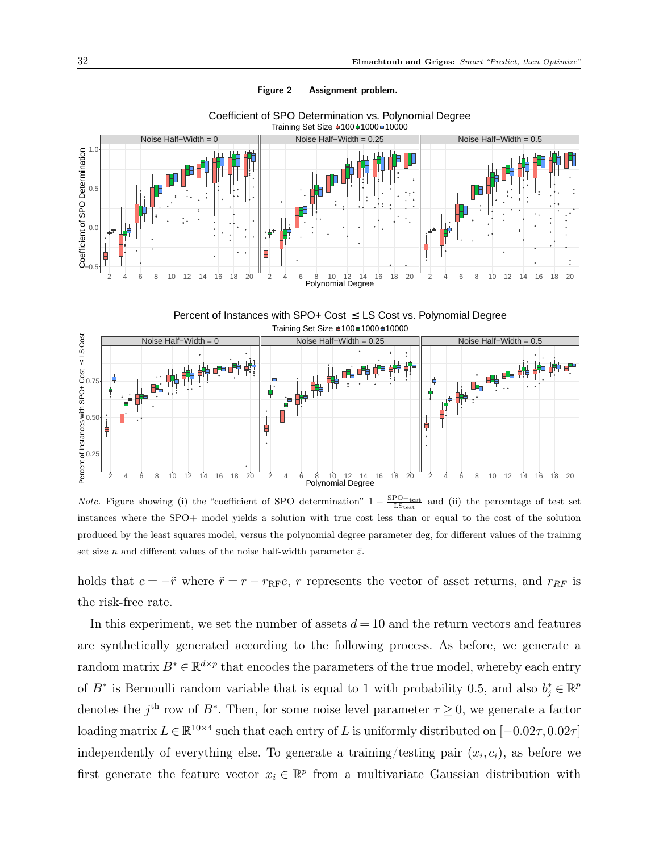

#### Figure 2 Assignment problem.

Coefficient of SPO Determination vs. Polynomial Degree

Training Set Size <sup>●</sup> 100 <sup>1000</sup> 10000 Percent of Instances with SPO+ Cost  $\leq$  LS Cost vs. Polynomial Degree



*Note.* Figure showing (i) the "coefficient of SPO determination"  $1 - \frac{\text{SPO} + \text{test}}{\text{LS}_{\text{test}}}$  and (ii) the percentage of test set instances where the SPO+ model yields a solution with true cost less than or equal to the cost of the solution produced by the least squares model, versus the polynomial degree parameter deg, for different values of the training set size n and different values of the noise half-width parameter  $\bar{\varepsilon}$ .

holds that  $c = -\tilde{r}$  where  $\tilde{r} = r - r_{RF}e$ , r represents the vector of asset returns, and  $r_{RF}$  is the risk-free rate.

In this experiment, we set the number of assets  $d = 10$  and the return vectors and features are synthetically generated according to the following process. As before, we generate a random matrix  $B^* \in \mathbb{R}^{d \times p}$  that encodes the parameters of the true model, whereby each entry of  $B^*$  is Bernoulli random variable that is equal to 1 with probability 0.5, and also  $b_j^* \in \mathbb{R}^p$ denotes the j<sup>th</sup> row of B<sup>\*</sup>. Then, for some noise level parameter  $\tau \geq 0$ , we generate a factor loading matrix  $L \in \mathbb{R}^{10 \times 4}$  such that each entry of L is uniformly distributed on  $[-0.02\tau, 0.02\tau]$ independently of everything else. To generate a training/testing pair  $(x_i, c_i)$ , as before we first generate the feature vector  $x_i \in \mathbb{R}^p$  from a multivariate Gaussian distribution with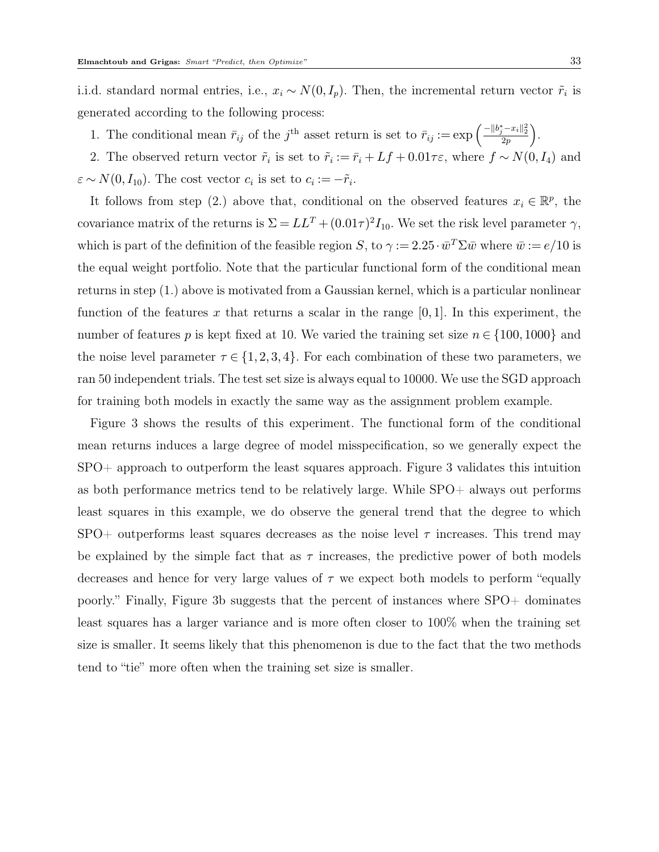i.i.d. standard normal entries, i.e.,  $x_i \sim N(0, I_p)$ . Then, the incremental return vector  $\tilde{r}_i$  is generated according to the following process:

- 1. The conditional mean  $\bar{r}_{ij}$  of the j<sup>th</sup> asset return is set to  $\bar{r}_{ij} := \exp\left(\frac{-\|b_j^*-x_i\|_2^2}{2p}\right)$ .
- 2. The observed return vector  $\tilde{r}_i$  is set to  $\tilde{r}_i := \bar{r}_i + Lf + 0.01\tau\varepsilon$ , where  $f \sim N(0, I_4)$  and  $\varepsilon \sim N(0, I_{10})$ . The cost vector  $c_i$  is set to  $c_i := -\tilde{r}_i$ .

It follows from step (2.) above that, conditional on the observed features  $x_i \in \mathbb{R}^p$ , the covariance matrix of the returns is  $\Sigma = LL^T + (0.01\tau)^2 I_{10}$ . We set the risk level parameter  $\gamma$ , which is part of the definition of the feasible region S, to  $\gamma := 2.25 \cdot \bar{w}^T \Sigma \bar{w}$  where  $\bar{w} := e/10$  is the equal weight portfolio. Note that the particular functional form of the conditional mean returns in step (1.) above is motivated from a Gaussian kernel, which is a particular nonlinear function of the features x that returns a scalar in the range  $[0, 1]$ . In this experiment, the number of features p is kept fixed at 10. We varied the training set size  $n \in \{100, 1000\}$  and the noise level parameter  $\tau \in \{1, 2, 3, 4\}$ . For each combination of these two parameters, we ran 50 independent trials. The test set size is always equal to 10000. We use the SGD approach for training both models in exactly the same way as the assignment problem example.

Figure 3 shows the results of this experiment. The functional form of the conditional mean returns induces a large degree of model misspecification, so we generally expect the SPO+ approach to outperform the least squares approach. Figure 3 validates this intuition as both performance metrics tend to be relatively large. While SPO+ always out performs least squares in this example, we do observe the general trend that the degree to which SPO+ outperforms least squares decreases as the noise level  $\tau$  increases. This trend may be explained by the simple fact that as  $\tau$  increases, the predictive power of both models decreases and hence for very large values of  $\tau$  we expect both models to perform "equally poorly." Finally, Figure 3b suggests that the percent of instances where SPO+ dominates least squares has a larger variance and is more often closer to 100% when the training set size is smaller. It seems likely that this phenomenon is due to the fact that the two methods tend to "tie" more often when the training set size is smaller.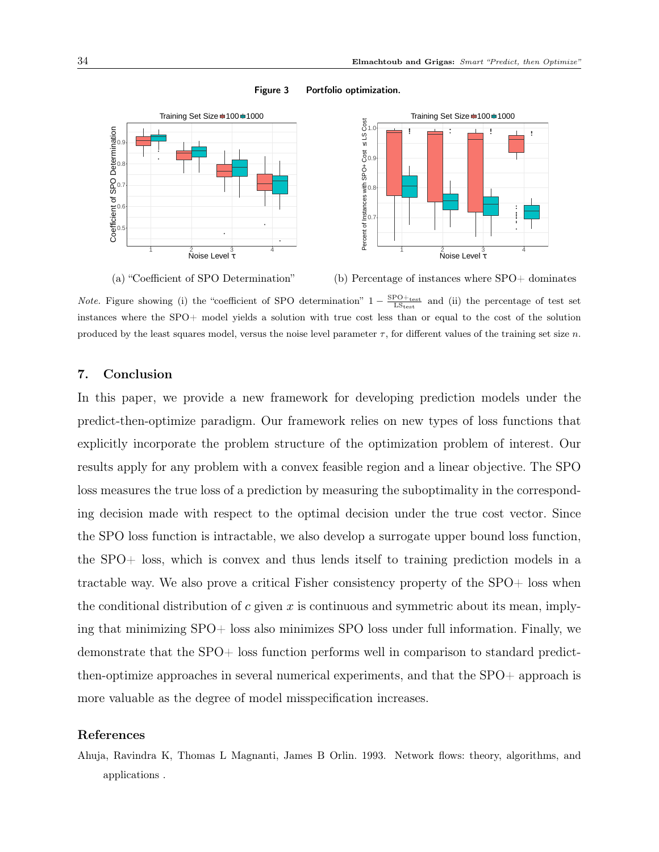

#### Figure 3 Portfolio optimization.

(a) "Coefficient of SPO Determination"



(b) Percentage of instances where SPO+ dominates *Note.* Figure showing (i) the "coefficient of SPO determination"  $1 - \frac{\text{SPO+test}}{\text{LS}_{\text{test}}}$  and (ii) the percentage of test set instances where the SPO+ model yields a solution with true cost less than or equal to the cost of the solution produced by the least squares model, versus the noise level parameter  $\tau$ , for different values of the training set size n.

## 7. Conclusion

In this paper, we provide a new framework for developing prediction models under the predict-then-optimize paradigm. Our framework relies on new types of loss functions that explicitly incorporate the problem structure of the optimization problem of interest. Our results apply for any problem with a convex feasible region and a linear objective. The SPO loss measures the true loss of a prediction by measuring the suboptimality in the corresponding decision made with respect to the optimal decision under the true cost vector. Since the SPO loss function is intractable, we also develop a surrogate upper bound loss function, the SPO+ loss, which is convex and thus lends itself to training prediction models in a tractable way. We also prove a critical Fisher consistency property of the SPO+ loss when the conditional distribution of c given x is continuous and symmetric about its mean, implying that minimizing SPO+ loss also minimizes SPO loss under full information. Finally, we demonstrate that the SPO+ loss function performs well in comparison to standard predictthen-optimize approaches in several numerical experiments, and that the SPO+ approach is more valuable as the degree of model misspecification increases.

## References

Ahuja, Ravindra K, Thomas L Magnanti, James B Orlin. 1993. Network flows: theory, algorithms, and applications .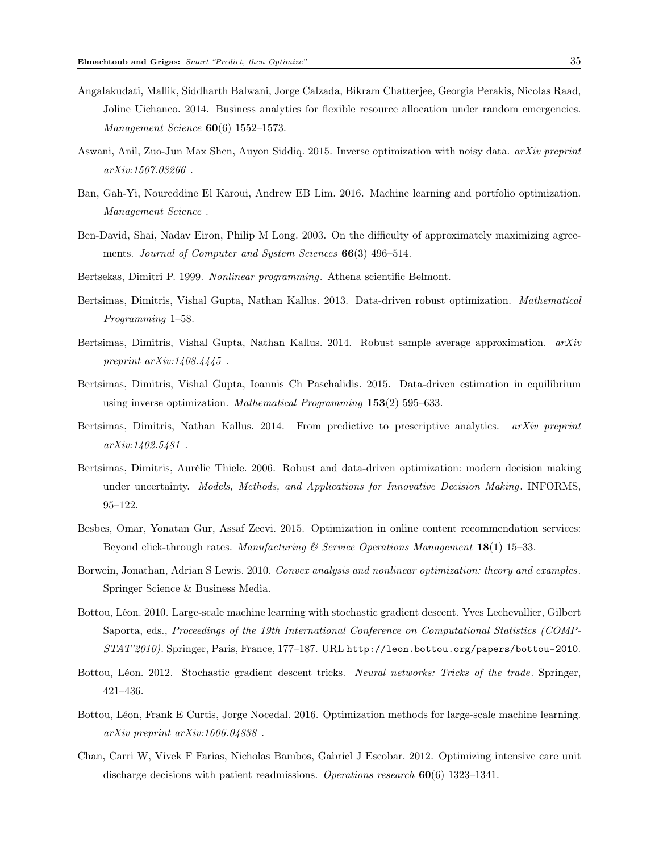- Angalakudati, Mallik, Siddharth Balwani, Jorge Calzada, Bikram Chatterjee, Georgia Perakis, Nicolas Raad, Joline Uichanco. 2014. Business analytics for flexible resource allocation under random emergencies. Management Science **60**(6) 1552-1573.
- Aswani, Anil, Zuo-Jun Max Shen, Auyon Siddiq. 2015. Inverse optimization with noisy data. arXiv preprint arXiv:1507.03266 .
- Ban, Gah-Yi, Noureddine El Karoui, Andrew EB Lim. 2016. Machine learning and portfolio optimization. Management Science .
- Ben-David, Shai, Nadav Eiron, Philip M Long. 2003. On the difficulty of approximately maximizing agreements. Journal of Computer and System Sciences 66(3) 496-514.
- Bertsekas, Dimitri P. 1999. Nonlinear programming. Athena scientific Belmont.
- Bertsimas, Dimitris, Vishal Gupta, Nathan Kallus. 2013. Data-driven robust optimization. Mathematical Programming 1–58.
- Bertsimas, Dimitris, Vishal Gupta, Nathan Kallus. 2014. Robust sample average approximation.  $arXiv$ preprint  $arXiv:1408.4445$ .
- Bertsimas, Dimitris, Vishal Gupta, Ioannis Ch Paschalidis. 2015. Data-driven estimation in equilibrium using inverse optimization. *Mathematical Programming*  $153(2)$  595–633.
- Bertsimas, Dimitris, Nathan Kallus. 2014. From predictive to prescriptive analytics. arXiv preprint arXiv:1402.5481 .
- Bertsimas, Dimitris, Aurélie Thiele. 2006. Robust and data-driven optimization: modern decision making under uncertainty. Models, Methods, and Applications for Innovative Decision Making. INFORMS, 95–122.
- Besbes, Omar, Yonatan Gur, Assaf Zeevi. 2015. Optimization in online content recommendation services: Beyond click-through rates. Manufacturing  $\mathcal C$  Service Operations Management 18(1) 15–33.
- Borwein, Jonathan, Adrian S Lewis. 2010. Convex analysis and nonlinear optimization: theory and examples. Springer Science & Business Media.
- Bottou, Léon. 2010. Large-scale machine learning with stochastic gradient descent. Yves Lechevallier, Gilbert Saporta, eds., Proceedings of the 19th International Conference on Computational Statistics (COMP-STAT'2010). Springer, Paris, France, 177–187. URL http://leon.bottou.org/papers/bottou-2010.
- Bottou, Léon. 2012. Stochastic gradient descent tricks. Neural networks: Tricks of the trade. Springer, 421–436.
- Bottou, Léon, Frank E Curtis, Jorge Nocedal. 2016. Optimization methods for large-scale machine learning. arXiv preprint arXiv:1606.04838 .
- Chan, Carri W, Vivek F Farias, Nicholas Bambos, Gabriel J Escobar. 2012. Optimizing intensive care unit discharge decisions with patient readmissions. Operations research  $60(6)$  1323–1341.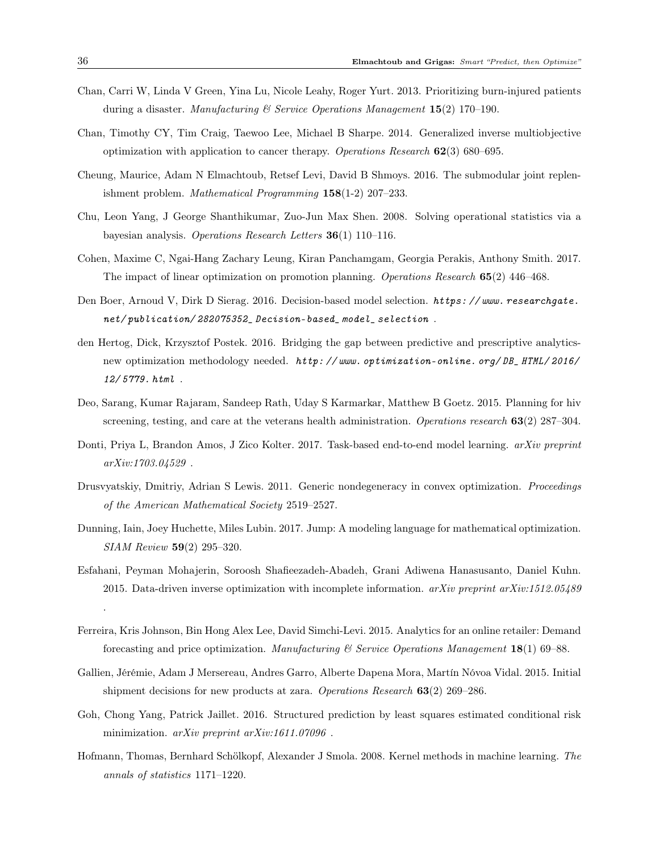- Chan, Carri W, Linda V Green, Yina Lu, Nicole Leahy, Roger Yurt. 2013. Prioritizing burn-injured patients during a disaster. Manufacturing  $\mathcal C$  Service Operations Management 15(2) 170–190.
- Chan, Timothy CY, Tim Craig, Taewoo Lee, Michael B Sharpe. 2014. Generalized inverse multiobjective optimization with application to cancer therapy. Operations Research  $62(3)$  680–695.
- Cheung, Maurice, Adam N Elmachtoub, Retsef Levi, David B Shmoys. 2016. The submodular joint replenishment problem. *Mathematical Programming*  $158(1-2)$  207-233.
- Chu, Leon Yang, J George Shanthikumar, Zuo-Jun Max Shen. 2008. Solving operational statistics via a bayesian analysis. Operations Research Letters 36(1) 110-116.
- Cohen, Maxime C, Ngai-Hang Zachary Leung, Kiran Panchamgam, Georgia Perakis, Anthony Smith. 2017. The impact of linear optimization on promotion planning. Operations Research 65(2) 446–468.
- Den Boer, Arnoud V, Dirk D Sierag. 2016. Decision-based model selection. https://www.researchgate. net/ publication/ 282075352\_ Decision-based\_ model\_ selection .
- den Hertog, Dick, Krzysztof Postek. 2016. Bridging the gap between predictive and prescriptive analyticsnew optimization methodology needed. http://www.optimization-online.org/DB\_HTML/2016/ 12/ 5779. html .
- Deo, Sarang, Kumar Rajaram, Sandeep Rath, Uday S Karmarkar, Matthew B Goetz. 2015. Planning for hiv screening, testing, and care at the veterans health administration. Operations research 63(2) 287–304.
- Donti, Priya L, Brandon Amos, J Zico Kolter. 2017. Task-based end-to-end model learning. arXiv preprint arXiv:1703.04529 .
- Drusvyatskiy, Dmitriy, Adrian S Lewis. 2011. Generic nondegeneracy in convex optimization. Proceedings of the American Mathematical Society 2519–2527.
- Dunning, Iain, Joey Huchette, Miles Lubin. 2017. Jump: A modeling language for mathematical optimization. SIAM Review 59(2) 295–320.
- Esfahani, Peyman Mohajerin, Soroosh Shafieezadeh-Abadeh, Grani Adiwena Hanasusanto, Daniel Kuhn. 2015. Data-driven inverse optimization with incomplete information.  $arXiv$  preprint  $arXiv:1512.05489$ .
- Ferreira, Kris Johnson, Bin Hong Alex Lee, David Simchi-Levi. 2015. Analytics for an online retailer: Demand forecasting and price optimization. Manufacturing  $\mathcal C$  Service Operations Manugement 18(1) 69–88.
- Gallien, Jérémie, Adam J Mersereau, Andres Garro, Alberte Dapena Mora, Martín Nóvoa Vidal. 2015. Initial shipment decisions for new products at zara. Operations Research  $63(2)$  269–286.
- Goh, Chong Yang, Patrick Jaillet. 2016. Structured prediction by least squares estimated conditional risk minimization. arXiv preprint arXiv:1611.07096.
- Hofmann, Thomas, Bernhard Schölkopf, Alexander J Smola. 2008. Kernel methods in machine learning. The annals of statistics 1171–1220.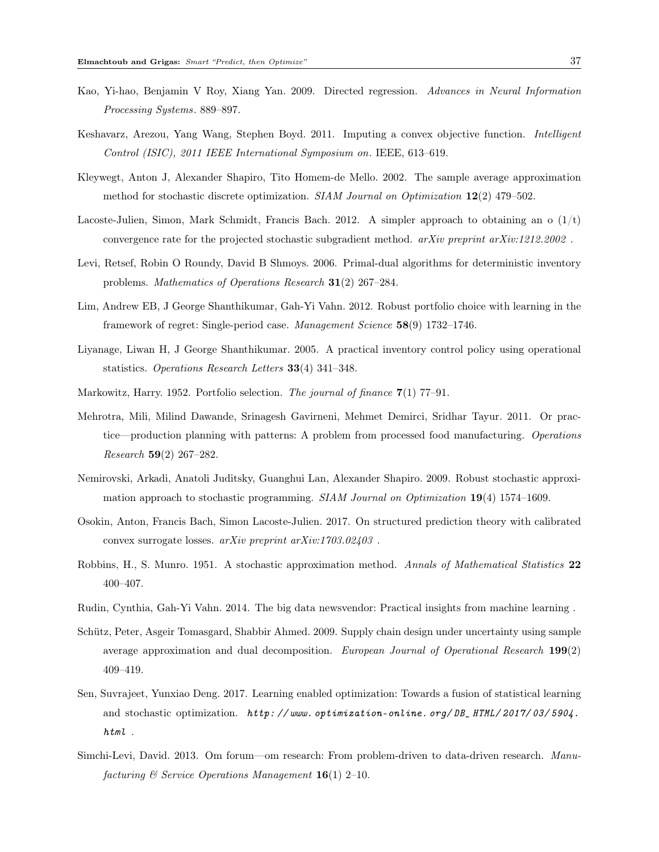- Kao, Yi-hao, Benjamin V Roy, Xiang Yan. 2009. Directed regression. Advances in Neural Information Processing Systems. 889–897.
- Keshavarz, Arezou, Yang Wang, Stephen Boyd. 2011. Imputing a convex objective function. Intelligent Control (ISIC), 2011 IEEE International Symposium on. IEEE, 613–619.
- Kleywegt, Anton J, Alexander Shapiro, Tito Homem-de Mello. 2002. The sample average approximation method for stochastic discrete optimization. SIAM Journal on Optimization  $12(2)$  479–502.
- Lacoste-Julien, Simon, Mark Schmidt, Francis Bach. 2012. A simpler approach to obtaining an o  $(1/t)$ convergence rate for the projected stochastic subgradient method.  $arXiv$  preprint  $arXiv:1212.2002$ .
- Levi, Retsef, Robin O Roundy, David B Shmoys. 2006. Primal-dual algorithms for deterministic inventory problems. Mathematics of Operations Research 31(2) 267–284.
- Lim, Andrew EB, J George Shanthikumar, Gah-Yi Vahn. 2012. Robust portfolio choice with learning in the framework of regret: Single-period case. Management Science 58(9) 1732-1746.
- Liyanage, Liwan H, J George Shanthikumar. 2005. A practical inventory control policy using operational statistics. Operations Research Letters 33(4) 341–348.
- Markowitz, Harry. 1952. Portfolio selection. The journal of finance 7(1) 77–91.
- Mehrotra, Mili, Milind Dawande, Srinagesh Gavirneni, Mehmet Demirci, Sridhar Tayur. 2011. Or practice—production planning with patterns: A problem from processed food manufacturing. Operations Research 59(2) 267–282.
- Nemirovski, Arkadi, Anatoli Juditsky, Guanghui Lan, Alexander Shapiro. 2009. Robust stochastic approximation approach to stochastic programming.  $SIAM$  Journal on Optimization 19(4) 1574–1609.
- Osokin, Anton, Francis Bach, Simon Lacoste-Julien. 2017. On structured prediction theory with calibrated convex surrogate losses. arXiv preprint arXiv:1703.02403 .
- Robbins, H., S. Munro. 1951. A stochastic approximation method. Annals of Mathematical Statistics 22 400–407.
- Rudin, Cynthia, Gah-Yi Vahn. 2014. The big data newsvendor: Practical insights from machine learning .
- Schütz, Peter, Asgeir Tomasgard, Shabbir Ahmed. 2009. Supply chain design under uncertainty using sample average approximation and dual decomposition. European Journal of Operational Research 199(2) 409–419.
- Sen, Suvrajeet, Yunxiao Deng. 2017. Learning enabled optimization: Towards a fusion of statistical learning and stochastic optimization. http://www.optimization-online.org/DB\_HTML/2017/03/5904. html .
- Simchi-Levi, David. 2013. Om forum—om research: From problem-driven to data-driven research. Manufacturing  $\mathcal C$  Service Operations Management 16(1) 2-10.